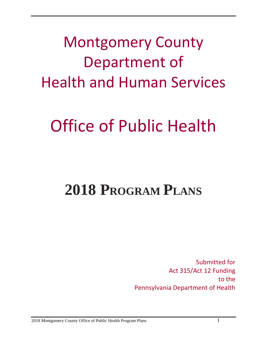Montgomery County Department of Health and Human Services

# Office of Public Health

# **2018 PROGRAM PLANS**

Submitted for Act 315/Act 12 Funding to the Pennsylvania Department of Health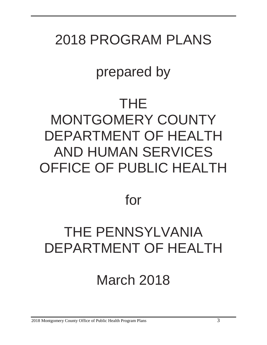### 2018 PROGRAM PLANS

### prepared by

### THE MONTGOMERY COUNTY DEPARTMENT OF HEALTH AND HUMAN SERVICES OFFICE OF PUBLIC HEALTH

### for

### THE PENNSYLVANIA DEPARTMENT OF HEALTH

## March 2018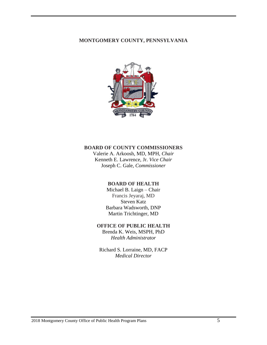#### **MONTGOMERY COUNTY, PENNSYLVANIA**



#### **BOARD OF COUNTY COMMISSIONERS**

Valerie A. Arkoosh, MD, MPH, *Chair* Kenneth E. Lawrence, Jr. *Vice Chair* Joseph C. Gale, *Commissioner*

#### **BOARD OF HEALTH**

Michael B. Laign – Chair Francis Jeyaraj, MD Steven Katz Barbara Wadsworth, DNP Martin Trichtinger, MD

#### **OFFICE OF PUBLIC HEALTH**

Brenda K. Weis, MSPH, PhD *Health Administrator*

Richard S. Lorraine, MD, FACP *Medical Director*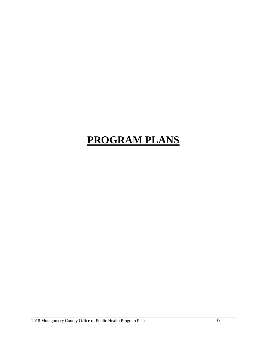### **PROGRAM PLANS**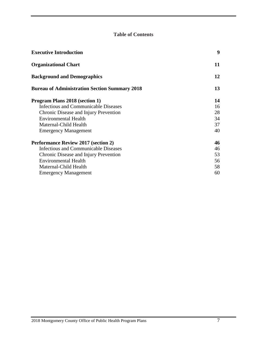#### **Table of Contents**

| <b>Executive Introduction</b>                        | 9  |
|------------------------------------------------------|----|
| <b>Organizational Chart</b>                          | 11 |
| <b>Background and Demographics</b>                   | 12 |
| <b>Bureau of Administration Section Summary 2018</b> | 13 |
| <b>Program Plans 2018 (section 1)</b>                | 14 |
| <b>Infectious and Communicable Diseases</b>          | 16 |
| Chronic Disease and Injury Prevention                | 28 |
| <b>Environmental Health</b>                          | 34 |
| Maternal-Child Health                                | 37 |
| <b>Emergency Management</b>                          | 40 |
| <b>Performance Review 2017 (section 2)</b>           | 46 |
| Infectious and Communicable Diseases                 | 46 |
| Chronic Disease and Injury Prevention                | 53 |
| <b>Environmental Health</b>                          | 56 |
| Maternal-Child Health                                | 58 |
| <b>Emergency Management</b>                          | 60 |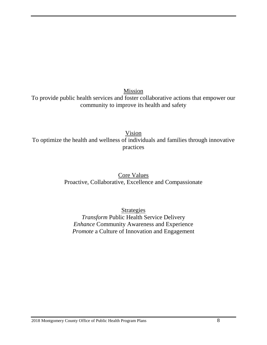Mission To provide public health services and foster collaborative actions that empower our community to improve its health and safety

Vision To optimize the health and wellness of individuals and families through innovative practices

> Core Values Proactive, Collaborative, Excellence and Compassionate

Strategies *Transform* Public Health Service Delivery *Enhance* Community Awareness and Experience *Promote* a Culture of Innovation and Engagement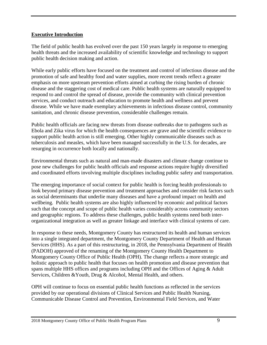#### **Executive Introduction**

The field of public health has evolved over the past 150 years largely in response to emerging health threats and the increased availability of scientific knowledge and technology to support public health decision making and action.

While early public efforts have focused on the treatment and control of infectious disease and the promotion of safe and healthy food and water supplies, more recent trends reflect a greater emphasis on more upstream prevention efforts aimed at curbing the rising burden of chronic disease and the staggering cost of medical care. Public health systems are naturally equipped to respond to and control the spread of disease, provide the community with clinical prevention services, and conduct outreach and education to promote health and wellness and prevent disease. While we have made exemplary achievements in infectious disease control, community sanitation, and chronic disease prevention, considerable challenges remain.

Public health officials are facing new threats from disease outbreaks due to pathogens such as Ebola and Zika virus for which the health consequences are grave and the scientific evidence to support public health action is still emerging. Other highly communicable diseases such as tuberculosis and measles, which have been managed successfully in the U.S. for decades, are resurging in occurrence both locally and nationally.

Environmental threats such as natural and man-made disasters and climate change continue to pose new challenges for public health officials and response actions require highly diversified and coordinated efforts involving multiple disciplines including public safety and transportation.

The emerging importance of social context for public health is forcing health professionals to look beyond primary disease prevention and treatment approaches and consider risk factors such as social determinants that underlie many diseases and have a profound impact on health and wellbeing. Public health systems are also highly influenced by economic and political factors such that the concept and scope of public health varies considerably across community sectors and geographic regions. To address these challenges, public health systems need both interorganizational integration as well as greater linkage and interface with clinical systems of care.

In response to these needs, Montgomery County has restructured its health and human services into a single integrated department, the Montgomery County Department of Health and Human Services (HHS). As a part of this restructuring, in 2018, the Pennsylvania Department of Health (PADOH) approved of the renaming of the Montgomery County Health Department to Montgomery County Office of Public Health (OPH). The change reflects a more strategic and holistic approach to public health that focuses on health promotion and disease prevention that spans multiple HHS offices and programs including OPH and the Offices of Aging & Adult Services, Children &Youth, Drug & Alcohol, Mental Health, and others.

OPH will continue to focus on essential public health functions as reflected in the services provided by our operational divisions of Clinical Services and Public Health Nursing, Communicable Disease Control and Prevention, Environmental Field Services, and Water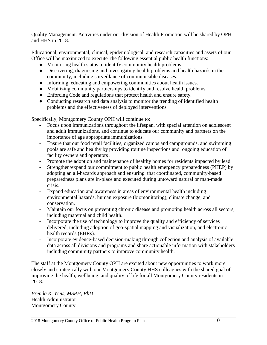Quality Management. Activities under our division of Health Promotion will be shared by OPH and HHS in 2018.

Educational, environmental, clinical, epidemiological, and research capacities and assets of our Office will be maximized to execute the following essential public health functions:

- Monitoring health status to identify community health problems.
- Discovering, diagnosing and investigating health problems and health hazards in the community, including surveillance of communicable diseases.
- Informing, educating and empowering communities about health issues.
- Mobilizing community partnerships to identify and resolve health problems.
- Enforcing Code and regulations that protect health and ensure safety.
- Conducting research and data analysis to monitor the trending of identified health problems and the effectiveness of deployed interventions.

Specifically, Montgomery County OPH will continue to:

- Focus upon immunizations throughout the lifespan, with special attention on adolescent and adult immunizations, and continue to educate our community and partners on the importance of age appropriate immunizations.
- Ensure that our food retail facilities, organized camps and campgrounds, and swimming pools are safe and healthy by providing routine inspections and ongoing education of facility owners and operators .
- Promote the adoption and maintenance of healthy homes for residents impacted by lead.
- Strengthen/expand our commitment to public health emergency preparedness (PHEP) by adopting an all-hazards approach and ensuring that coordinated, community-based preparedness plans are in-place and executed during untoward natural or man-made crisis.
- Expand education and awareness in areas of environmental health including environmental hazards, human exposure (biomonitoring), climate change, and conservation.
- Maintain our focus on preventing chronic disease and promoting health across all sectors, including maternal and child health.
- Incorporate the use of technology to improve the quality and efficiency of services delivered, including adoption of geo-spatial mapping and visualization, and electronic health records (EHRs).
- Incorporate evidence-based decision-making through collection and analysis of available data across all divisions and programs and share actionable information with stakeholders including community partners to improve community health.

The staff at the Montgomery County OPH are excited about new opportunities to work more closely and strategically with our Montgomery County HHS colleagues with the shared goal of improving the health, wellbeing, and quality of life for all Montgomery County residents in 2018.

*Brenda K. Weis, MSPH, PhD* Health Administrator Montgomery County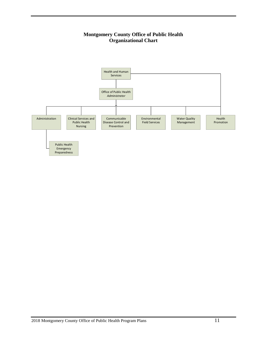#### **Montgomery County Office of Public Health Organizational Chart**

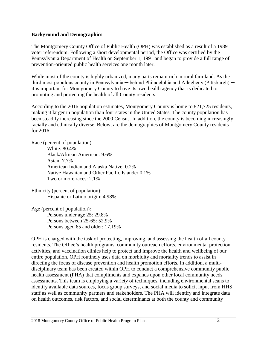#### **Background and Demographics**

The Montgomery County Office of Public Health (OPH) was established as a result of a 1989 voter referendum. Following a short developmental period, the Office was certified by the Pennsylvania Department of Health on September 1, 1991 and began to provide a full range of prevention-oriented public health services one month later.

While most of the county is highly urbanized, many parts remain rich in rural farmland. As the third most populous county in Pennsylvania — behind Philadelphia and Allegheny (Pittsburgh) it is important for Montgomery County to have its own health agency that is dedicated to promoting and protecting the health of all County residents.

According to the 2016 population estimates, Montgomery County is home to 821,725 residents, making it larger in population than four states in the United States. The county population has been steadily increasing since the 2000 Census. In addition, the county is becoming increasingly racially and ethnically diverse. Below, are the demographics of Montgomery County residents for 2016:

Race (percent of population):

White: 80.4% Black/African American: 9.6% Asian: 7.7% American Indian and Alaska Native: 0.2% Native Hawaiian and Other Pacific Islander 0.1% Two or more races: 2.1%

Ethnicity (percent of population):

Hispanic or Latino origin: 4.98%

Age (percent of population):

Persons under age 25: 29.8% Persons between 25-65: 52.9% Persons aged 65 and older: 17.19%

OPH is charged with the task of protecting, improving, and assessing the health of all county residents. The Office's health programs, community outreach efforts, environmental protection activities, and vaccination clinics help to protect and improve the health and wellbeing of our entire population. OPH routinely uses data on morbidity and mortality trends to assist in directing the focus of disease prevention and health promotion efforts. In addition, a multidisciplinary team has been created within OPH to conduct a comprehensive community public health assessment (PHA) that compliments and expands upon other local community needs assessments. This team is employing a variety of techniques, including environmental scans to identify available data sources, focus group surveys, and social media to solicit input from HHS staff as well as community partners and stakeholders. The PHA will identify and integrate data on health outcomes, risk factors, and social determinants at both the county and community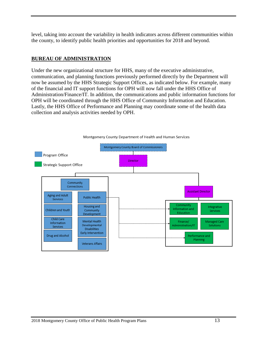level, taking into account the variability in health indicators across different communities within the county, to identify public health priorities and opportunities for 2018 and beyond.

#### **BUREAU OF ADMINISTRATION**

Under the new organizational structure for HHS, many of the executive administrative, communication, and planning functions previously performed directly by the Department will now be assumed by the HHS Strategic Support Offices, as indicated below. For example, many of the financial and IT support functions for OPH will now fall under the HHS Office of Administration/Finance/IT. In addition, the communications and public information functions for OPH will be coordinated through the HHS Office of Community Information and Education. Lastly, the HHS Office of Performance and Planning may coordinate some of the health data collection and analysis activities needed by OPH.

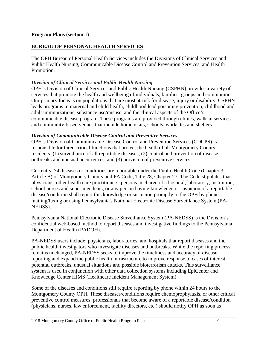#### **Program Plans (section 1)**

#### **BUREAU OF PERSONAL HEALTH SERVICES**

The OPH Bureau of Personal Health Services includes the Divisions of Clinical Services and Public Health Nursing, Communicable Disease Control and Prevention Services, and Health Promotion.

#### *Division of Clinical Services and Public Health Nursing*

OPH's Division of Clinical Services and Public Health Nursing (CSPHN) provides a variety of services that promote the health and wellbeing of individuals, families, groups and communities. Our primary focus is on populations that are most at-risk for disease, injury or disability. CSPHN leads programs in maternal and child health, childhood lead poisoning prevention, childhood and adult immunizations, substance use/misuse, and the clinical aspects of the Office's communicable disease program. These programs are provided through clinics, walk-in services and community-based venues that include home visits, schools, worksites and shelters.

#### *Division of Communicable Disease Control and Preventive Services*

OPH's Division of Communicable Disease Control and Prevention Services (CDCPS) is responsible for three critical functions that protect the health of all Montgomery County residents: (1) surveillance of all reportable diseases, (2) control and prevention of disease outbreaks and unusual occurrences, and (3) provision of preventive services.

Currently, 74 diseases or conditions are reportable under the Public Health Code (Chapter 3, Article B) of Montgomery County and PA Code, Title 28, Chapter 27*.* The Code stipulates that physicians, other health care practitioners, persons in charge of a hospital, laboratory, institution, school nurses and superintendents, or any person having knowledge or suspicion of a reportable disease/condition shall report this knowledge or suspicion promptly to the OPH by phone, mailing/faxing or using Pennsylvania's National Electronic Disease Surveillance System (PA-NEDSS).

Pennsylvania National Electronic Disease Surveillance System (PA-NEDSS) is the Division's confidential web-based method to report diseases and investigative findings to the Pennsylvania Department of Health (PADOH).

PA-NEDSS users include: physicians, laboratories, and hospitals that report diseases and the public health investigators who investigate diseases and outbreaks. While the reporting process remains unchanged, PA-NEDSS seeks to improve the timeliness and accuracy of disease reporting and expand the public health infrastructure to improve response to cases of interest, potential outbreaks, unusual situations and possible bioterrorism attacks. This surveillance system is used in conjunction with other data collection systems including EpiCenter and Knowledge Center HIMS (Healthcare Incident Management System).

Some of the diseases and conditions still require reporting by phone within 24 hours to the Montgomery County OPH. These diseases/conditions require chemoprophylaxis, or other critical preventive control measures; professionals that become aware of a reportable disease/condition (physicians, nurses, law enforcement, facility directors, etc.) should notify OPH as soon as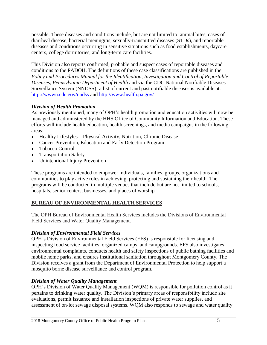possible. These diseases and conditions include, but are not limited to: animal bites, cases of diarrheal disease, bacterial meningitis, sexually-transmitted diseases (STDs), and reportable diseases and conditions occurring in sensitive situations such as food establishments, daycare centers, college dormitories, and long-term care facilities.

This Division also reports confirmed, probable and suspect cases of reportable diseases and conditions to the PADOH. The definitions of these case classifications are published in the *Policy and Procedures Manual for the Identification, Investigation and Control of Reportable Diseases, Pennsylvania Department of Health* and via the CDC National Notifiable Diseases Surveillance System (NNDSS)*;* a list of current and past notifiable diseases is available at: <http://wwwn.cdc.gov/nndss> and <http://www.health.pa.gov/>

#### *Division of Health Promotion*

As previously mentioned, many of OPH's health promotion and education activities will now be managed and administered by the HHS Office of Community Information and Education. These efforts will include health education, health screenings, and media campaigns in the following areas:

- Healthy Lifestyles Physical Activity, Nutrition, Chronic Disease
- Cancer Prevention, Education and Early Detection Program
- Tobacco Control
- **Transportation Safety**
- Unintentional Injury Prevention

These programs are intended to empower individuals, families, groups, organizations and communities to play active roles in achieving, protecting and sustaining their health. The programs will be conducted in multiple venues that include but are not limited to schools, hospitals, senior centers, businesses, and places of worship.

#### **BUREAU OF ENVIRONMENTAL HEALTH SERVICES**

The OPH Bureau of Environmental Health Services includes the Divisions of Environmental Field Services and Water Quality Management.

#### *Division of Environmental Field Services*

OPH's Division of Environmental Field Services (EFS) is responsible for licensing and inspecting food service facilities, organized camps, and campgrounds. EFS also investigates environmental complaints, conducts health and safety inspections of public bathing facilities and mobile home parks, and ensures institutional sanitation throughout Montgomery County. The Division receives a grant from the Department of Environmental Protection to help support a mosquito borne disease surveillance and control program.

#### *Division of Water Quality Management*

OPH's Division of Water Quality Management (WQM) is responsible for pollution control as it pertains to drinking water quality. The Division's primary areas of responsibility include site evaluations, permit issuance and installation inspections of private water supplies, and assessment of on-lot sewage disposal systems. WQM also responds to sewage and water quality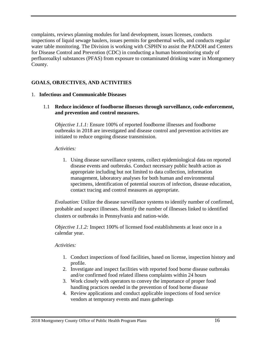complaints, reviews planning modules for land development, issues licenses, conducts inspections of liquid sewage haulers, issues permits for geothermal wells, and conducts regular water table monitoring. The Division is working with CSPHN to assist the PADOH and Centers for Disease Control and Prevention (CDC) in conducting a human biomonitoring study of perfluoroalkyl substances (PFAS) from exposure to contaminated drinking water in Montgomery County.

#### **GOALS, OBJECTIVES, AND ACTIVITIES**

#### 1. **Infectious and Communicable Diseases**

1.1 **Reduce incidence of foodborne illnesses through surveillance, code-enforcement, and prevention and control measures.**

*Objective 1.1.1:* Ensure 100% of reported foodborne illnesses and foodborne outbreaks in 2018 are investigated and disease control and prevention activities are initiated to reduce ongoing disease transmission.

#### *Activities:*

1. Using disease surveillance systems, collect epidemiological data on reported disease events and outbreaks. Conduct necessary public health action as appropriate including but not limited to data collection, information management, laboratory analyses for both human and environmental specimens, identification of potential sources of infection, disease education, contact tracing and control measures as appropriate.

*Evaluation:* Utilize the disease surveillance systems to identify number of confirmed, probable and suspect illnesses. Identify the number of illnesses linked to identified clusters or outbreaks in Pennsylvania and nation-wide.

*Objective 1.1.2:* Inspect 100% of licensed food establishments at least once in a calendar year.

- 1. Conduct inspections of food facilities, based on license, inspection history and profile.
- 2. Investigate and inspect facilities with reported food borne disease outbreaks and/or confirmed food related illness complaints within 24 hours
- 3. Work closely with operators to convey the importance of proper food handling practices needed in the prevention of food borne disease
- 4. Review applications and conduct applicable inspections of food service vendors at temporary events and mass gatherings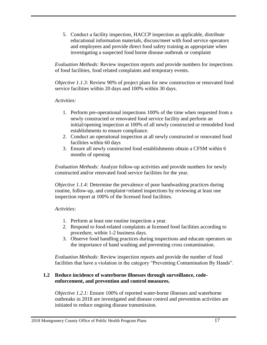5. Conduct a facility inspection, HACCP inspection as applicable, distribute educational information materials, discuss/meet with food service operators and employees and provide direct food safety training as appropriate when investigating a suspected food borne disease outbreak or complaint

*Evaluation Methods:* Review inspection reports and provide numbers for inspections of food facilities, food related complaints and temporary events.

*Objective 1.1.3:* Review 90% of project plans for new construction or renovated food service facilities within 20 days and 100% within 30 days.

#### *Activities:*

- 1. Perform pre-operational inspections 100% of the time when requested from a newly constructed or renovated food service facility and perform an initial/opening inspection at 100% of all newly constructed or remodeled food establishments to ensure compliance.
- 2. Conduct an operational inspection at all newly constructed or renovated food facilities within 60 days
- 3. Ensure all newly constructed food establishments obtain a CFSM within 6 months of opening

*Evaluation Methods:* Analyze follow-up activities and provide numbers for newly constructed and/or renovated food service facilities for the year.

*Objective 1.1.4:* Determine the prevalence of poor handwashing practices during routine, follow-up, and complaint=related inspections by reviewing at least one inspection report at 100% of the licensed food facilities.

#### *Activities:*

- 1. Perform at least one routine inspection a year.
- 2. Respond to food-related complaints at licensed food facilities according to procedure, within 1-2 business days.
- 3. Observe food handling practices during inspections and educate operators on the importance of hand washing and preventing cross contamination.

*Evaluation Methods:* Review inspection reports and provide the number of food facilities that have a violation in the category "Preventing Contamination By Hands".

#### **1.2 Reduce incidence of waterborne illnesses through surveillance, codeenforcement, and prevention and control measures.**

*Objective 1.2.1:* Ensure 100% of reported water-borne illnesses and waterborne outbreaks in 2018 are investigated and disease control and prevention activities are initiated to reduce ongoing disease transmission.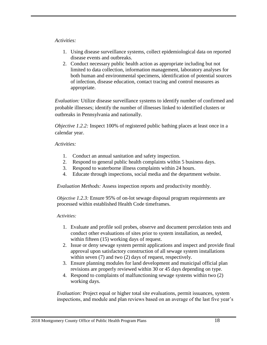#### *Activities:*

- 1. Using disease surveillance systems, collect epidemiological data on reported disease events and outbreaks.
- 2. Conduct necessary public health action as appropriate including but not limited to data collection, information management, laboratory analyses for both human and environmental specimens, identification of potential sources of infection, disease education, contact tracing and control measures as appropriate.

*Evaluation:* Utilize disease surveillance systems to identify number of confirmed and probable illnesses; identify the number of illnesses linked to identified clusters or outbreaks in Pennsylvania and nationally.

*Objective 1.2.2:* Inspect 100% of registered public bathing places at least once in a calendar year.

#### *Activities:*

- 1. Conduct an annual sanitation and safety inspection.
- 2. Respond to general public health complaints within 5 business days.
- 3. Respond to waterborne illness complaints within 24 hours.
- 4. Educate through inspections, social media and the department website.

*Evaluation Methods:* Assess inspection reports and productivity monthly.

*Objective 1.2.3:* Ensure 95% of on-lot sewage disposal program requirements are processed within established Health Code timeframes.

#### *Activities:*

- 1. Evaluate and profile soil probes, observe and document percolation tests and conduct other evaluations of sites prior to system installation, as needed, within fifteen (15) working days of request.
- 2. Issue or deny sewage system permit applications and inspect and provide final approval upon satisfactory construction of all sewage system installations within seven (7) and two (2) days of request, respectively.
- 3. Ensure planning modules for land development and municipal official plan revisions are properly reviewed within 30 or 45 days depending on type.
- 4. Respond to complaints of malfunctioning sewage systems within two (2) working days.

*Evaluation:* Project equal or higher total site evaluations, permit issuances, system inspections, and module and plan reviews based on an average of the last five year's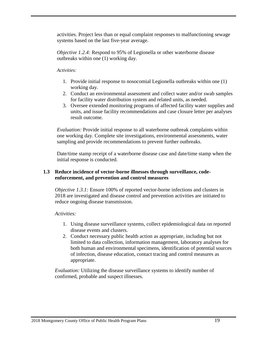activities. Project less than or equal complaint responses to malfunctioning sewage systems based on the last five-year average.

*Objective 1.2.4:* Respond to 95% of Legionella or other waterborne disease outbreaks within one (1) working day.

#### *Activities:*

- 1. Provide initial response to nosocomial Legionella outbreaks within one (1) working day.
- 2. Conduct an environmental assessment and collect water and/or swab samples for facility water distribution system and related units, as needed.
- 3. Oversee extended monitoring programs of affected facility water supplies and units, and issue facility recommendations and case closure letter per analyses result outcome.

*Evaluation:* Provide initial response to all waterborne outbreak complaints within one working day. Complete site investigations, environmental assessments, water sampling and provide recommendations to prevent further outbreaks.

Date/time stamp receipt of a waterborne disease case and date/time stamp when the initial response is conducted.

#### **1.3 Reduce incidence of vector-borne illnesses through surveillance, codeenforcement, and prevention and control measures**

*Objective 1.3.1:* Ensure 100% of reported vector-borne infections and clusters in 2018 are investigated and disease control and prevention activities are initiated to reduce ongoing disease transmission.

#### *Activities:*

- 1. Using disease surveillance systems, collect epidemiological data on reported disease events and clusters.
- 2. Conduct necessary public health action as appropriate, including but not limited to data collection, information management, laboratory analyses for both human and environmental specimens, identification of potential sources of infection, disease education, contact tracing and control measures as appropriate.

*Evaluation:* Utilizing the disease surveillance systems to identify number of confirmed, probable and suspect illnesses.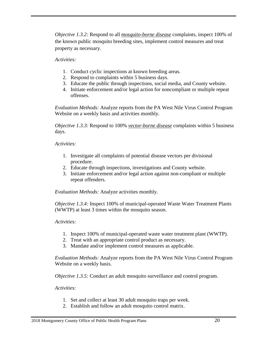*Objective 1.3.2:* Respond to all *mosquito-borne disease* complaints, inspect 100% of the known public mosquito breeding sites, implement control measures and treat property as necessary.

#### *Activities:*

- 1. Conduct cyclic inspections at known breeding areas.
- 2. Respond to complaints within 5 business days.
- 3. Educate the public through inspections, social media, and County website.
- 4. Initiate enforcement and/or legal action for noncompliant or multiple repeat offenses.

*Evaluation Methods:* Analyze reports from the PA West Nile Virus Control Program Website on a weekly basis and activities monthly.

*Objective 1.3.3:* Respond to 100% *vector-borne disease* complaints within 5 business days.

#### *Activities:*

- 1. Investigate all complaints of potential disease vectors per divisional procedure.
- 2. Educate through inspections, investigations and County website.
- 3. Initiate enforcement and/or legal action against non-compliant or multiple repeat offenders.

*Evaluation Methods:* Analyze activities monthly.

*Objective 1.3.4:* Inspect 100% of municipal-operated Waste Water Treatment Plants (WWTP) at least 3 times within the mosquito season.

#### *Activities:*

- 1. Inspect 100% of municipal-operated waste water treatment plant (WWTP).
- 2. Treat with an appropriate control product as necessary.
- 3. Mandate and/or implement control measures as applicable.

*Evaluation Methods:* Analyze reports from the PA West Nile Virus Control Program Website on a weekly basis.

*Objective 1.3.5:* Conduct an adult mosquito surveillance and control program.

- 1. Set and collect at least 30 adult mosquito traps per week.
- 2. Establish and follow an adult mosquito control matrix.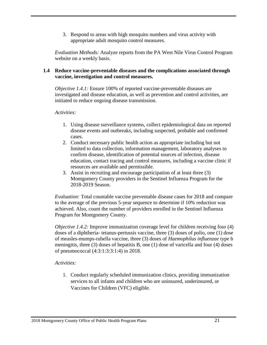3. Respond to areas with high mosquito numbers and virus activity with appropriate adult mosquito control measures.

*Evaluation Methods:* Analyze reports from the PA West Nile Virus Control Program website on a weekly basis.

#### **1.4 Reduce vaccine-preventable diseases and the complications associated through vaccine, investigation and control measures.**

*Objective 1.4.1:* Ensure 100% of reported vaccine-preventable diseases are investigated and disease education, as well as prevention and control activities, are initiated to reduce ongoing disease transmission.

*Activities:*

- 1. Using disease surveillance systems, collect epidemiological data on reported disease events and outbreaks, including suspected, probable and confirmed cases.
- 2. Conduct necessary public health action as appropriate including but not limited to data collection, information management, laboratory analyses to confirm disease, identification of potential sources of infection, disease education, contact tracing and control measures, including a vaccine clinic if resources are available and permissible.
- 3. Assist in recruiting and encourage participation of at least three (3) Montgomery County providers in the Sentinel Influenza Program for the 2018-2019 Season.

*Evaluation:* Total countable vaccine preventable disease cases for 2018 and compare to the average of the previous 5-year sequence to determine if 10% reduction was achieved. Also, count the number of providers enrolled in the Sentinel Influenza Program for Montgomery County.

*Objective 1.4.2:* Improve immunization coverage level for children receiving four (4) doses of a diphtheria- tetanus-pertussis vaccine, three (3) doses of polio, one (1) dose of measles-mumps-rubella vaccine, three (3) doses of *Haemophilus influenzae* type b meningitis, three (3) doses of hepatitis B, one (1) dose of varicella and four (4) doses of pneumococcal (4:3:1:3:3:1:4) in 2018.

#### *Activities:*

1. Conduct regularly scheduled immunization clinics, providing immunization services to all infants and children who are uninsured, underinsured, or Vaccines for Children (VFC) eligible.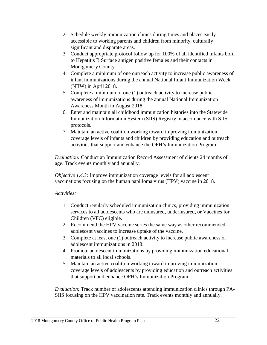- 2. Schedule weekly immunization clinics during times and places easily accessible to working parents and children from minority, culturally significant and disparate areas.
- 3. Conduct appropriate protocol follow up for 100% of all identified infants born to Hepatitis B Surface antigen positive females and their contacts in Montgomery County.
- 4. Complete a minimum of one outreach activity to increase public awareness of infant immunizations during the annual National Infant Immunization Week (NIIW) in April 2018.
- 5. Complete a minimum of one (1) outreach activity to increase public awareness of immunizations during the annual National Immunization Awareness Month in August 2018.
- 6. Enter and maintain all childhood immunization histories into the Statewide Immunization Information System (SIIS) Registry in accordance with SIIS protocols.
- 7. Maintain an active coalition working toward improving immunization coverage levels of infants and children by providing education and outreach activities that support and enhance the OPH's Immunization Program.

*Evaluation:* Conduct an Immunization Record Assessment of clients 24 months of age. Track events monthly and annually.

*Objective 1.4.3:* Improve immunization coverage levels for all adolescent vaccinations focusing on the human papilloma virus (HPV) vaccine in 2018.

#### *Activities:*

- 1. Conduct regularly scheduled immunization clinics, providing immunization services to all adolescents who are uninsured, underinsured, or Vaccines for Children (VFC) eligible.
- 2. Recommend the HPV vaccine series the same way as other recommended adolescent vaccines to increase uptake of the vaccine.
- 3. Complete at least one (1) outreach activity to increase public awareness of adolescent immunizations in 2018.
- 4. Promote adolescent immunizations by providing immunization educational materials to all local schools.
- 5. Maintain an active coalition working toward improving immunization coverage levels of adolescents by providing education and outreach activities that support and enhance OPH's Immunization Program.

*Evaluation:* Track number of adolescents attending immunization clinics through PA-SIIS focusing on the HPV vaccination rate. Track events monthly and annually.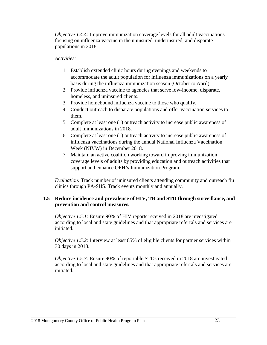*Objective 1.4.4:* Improve immunization coverage levels for all adult vaccinations focusing on influenza vaccine in the uninsured, underinsured, and disparate populations in 2018.

#### *Activities:*

- 1. Establish extended clinic hours during evenings and weekends to accommodate the adult population for influenza immunizations on a yearly basis during the influenza immunization season (October to April).
- 2. Provide influenza vaccine to agencies that serve low-income, disparate, homeless, and uninsured clients.
- 3. Provide homebound influenza vaccine to those who qualify.
- 4. Conduct outreach to disparate populations and offer vaccination services to them.
- 5. Complete at least one (1) outreach activity to increase public awareness of adult immunizations in 2018.
- 6. Complete at least one (1) outreach activity to increase public awareness of influenza vaccinations during the annual National Influenza Vaccination Week (NIVW) in December 2018.
- 7. Maintain an active coalition working toward improving immunization coverage levels of adults by providing education and outreach activities that support and enhance OPH's Immunization Program.

*Evaluation:* Track number of uninsured clients attending community and outreach flu clinics through PA-SIIS. Track events monthly and annually.

#### **1.5 Reduce incidence and prevalence of HIV, TB and STD through surveillance, and prevention and control measures.**

*Objective 1.5.1:* Ensure 90% of HIV reports received in 2018 are investigated according to local and state guidelines and that appropriate referrals and services are initiated.

*Objective 1.5.2:* Interview at least 85% of eligible clients for partner services within 30 days in 2018.

*Objective 1.5.3:* Ensure 90% of reportable STDs received in 2018 are investigated according to local and state guidelines and that appropriate referrals and services are initiated.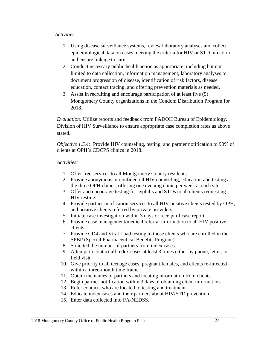#### *Activities:*

- 1. Using disease surveillance systems, review laboratory analyses and collect epidemiological data on cases meeting the criteria for HIV or STD infection and ensure linkage to care.
- 2. Conduct necessary public health action as appropriate, including but not limited to data collection, information management, laboratory analyses to document progression of disease, identification of risk factors, disease education, contact tracing, and offering prevention materials as needed.
- 3. Assist in recruiting and encourage participation of at least five (5) Montgomery County organizations in the Condom Distribution Program for 2018.

*Evaluation:* Utilize reports and feedback from PADOH Bureau of Epidemiology, Division of HIV Surveillance to ensure appropriate case completion rates as above stated.

*Objective 1.5.4:* Provide HIV counseling, testing, and partner notification to 90% of clients at OPH's CDCPS clinics in 2018.

- 1. Offer free services to all Montgomery County residents.
- 2. Provide anonymous or confidential HIV counseling, education and testing at the three OPH clinics, offering one evening clinic per week at each site.
- 3. Offer and encourage testing for syphilis and STDs to all clients requesting HIV testing.
- 4. Provide partner notification services to all HIV positive clients tested by OPH, and positive clients referred by private providers.
- 5. Initiate case investigation within 3 days of receipt of case report.
- 6. Provide case management/medical referral information to all HIV positive clients.
- 7. Provide CD4 and Viral Load testing to those clients who are enrolled in the SPBP (Special Pharmaceutical Benefits Program).
- 8. Solicited the number of partners from index cases.
- 9. Attempt to contact all index cases at least 3 times either by phone, letter, or field visit.
- 10. Give priority to all teenage cases, pregnant females, and clients re-infected within a three-month time frame.
- 11. Obtain the names of partners and locating information from clients.
- 12. Begin partner notification within 3 days of obtaining client information.
- 13. Refer contacts who are located to testing and treatment.
- 14. Educate index cases and their partners about HIV/STD prevention.
- 15. Enter data collected into PA-NEDSS.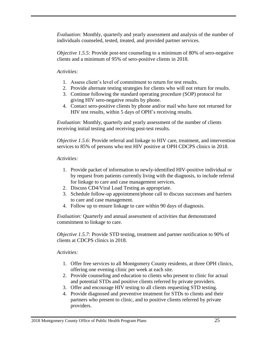*Evaluation:* Monthly, quarterly and yearly assessment and analysis of the number of individuals counseled, tested, treated, and provided partner services.

*Objective 1.5.5:* Provide post-test counseling to a minimum of 80% of sero-negative clients and a minimum of 95% of sero-positive clients in 2018.

#### *Activities:*

- 1. Assess client's level of commitment to return for test results.
- 2. Provide alternate testing strategies for clients who will not return for results.
- 3. Continue following the standard operating procedure (SOP) protocol for giving HIV sero-negative results by phone.
- 4. Contact sero-positive clients by phone and/or mail who have not returned for HIV test results, within 5 days of OPH's receiving results.

*Evaluation:* Monthly, quarterly and yearly assessment of the number of clients receiving initial testing and receiving post-test results.

*Objective 1.5.6:* Provide referral and linkage to HIV care, treatment, and intervention services to 85% of persons who test HIV positive at OPH CDCPS clinics in 2018.

#### *Activities:*

- 1. Provide packet of information to newly-identified HIV-positive individual or by request from patients currently living with the diagnosis, to include referral for linkage to care and case management services.
- 2. Discuss CD4/Viral Load Testing as appropriate.
- 3. Schedule follow-up appointment/phone call to discuss successes and barriers to care and case management.
- 4. Follow up to ensure linkage to care within 90 days of diagnosis.

*Evaluation:* Quarterly and annual assessment of activities that demonstrated commitment to linkage to care.

*Objective 1.5.7:* Provide STD testing, treatment and partner notification to 90% of clients at CDCPS clinics in 2018.

- 1. Offer free services to all Montgomery County residents, at three OPH clinics, offering one evening clinic per week at each site.
- 2. Provide counseling and education to clients who present to clinic for actual and potential STDs and positive clients referred by private providers.
- 3. Offer and encourage HIV testing to all clients requesting STD testing.
- 4. Provide diagnosed and preventive treatment for STDs to clients and their partners who present to clinic, and to positive clients referred by private providers.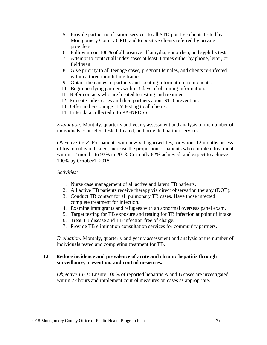- 5. Provide partner notification services to all STD positive clients tested by Montgomery County OPH, and to positive clients referred by private providers.
- 6. Follow up on 100% of all positive chlamydia, gonorrhea, and syphilis tests.
- 7. Attempt to contact all index cases at least 3 times either by phone, letter, or field visit.
- 8. Give priority to all teenage cases, pregnant females, and clients re-infected within a three-month time frame.
- 9. Obtain the names of partners and locating information from clients.
- 10. Begin notifying partners within 3 days of obtaining information.
- 11. Refer contacts who are located to testing and treatment.
- 12. Educate index cases and their partners about STD prevention.
- 13. Offer and encourage HIV testing to all clients.
- 14. Enter data collected into PA-NEDSS.

*Evaluation:* Monthly, quarterly and yearly assessment and analysis of the number of individuals counseled, tested, treated, and provided partner services.

*Objective 1.5.8:* For patients with newly diagnosed TB, for whom 12 months or less of treatment is indicated, increase the proportion of patients who complete treatment within 12 months to 93% in 2018. Currently 62% achieved, and expect to achieve 100% by October1, 2018.

#### *Activities:*

- 1. Nurse case management of all active and latent TB patients.
- 2. All active TB patients receive therapy via direct observation therapy (DOT).
- 3. Conduct TB contact for all pulmonary TB cases. Have those infected complete treatment for infection.
- 4. Examine immigrants and refugees with an abnormal overseas panel exam.
- 5. Target testing for TB exposure and testing for TB infection at point of intake.
- 6. Treat TB disease and TB infection free of charge.
- 7. Provide TB elimination consultation services for community partners.

*Evaluation:* Monthly, quarterly and yearly assessment and analysis of the number of individuals tested and completing treatment for TB.

#### **1.6 Reduce incidence and prevalence of acute and chronic hepatitis through surveillance, prevention, and control measures.**

*Objective 1.6.1:* Ensure 100% of reported hepatitis A and B cases are investigated within 72 hours and implement control measures on cases as appropriate.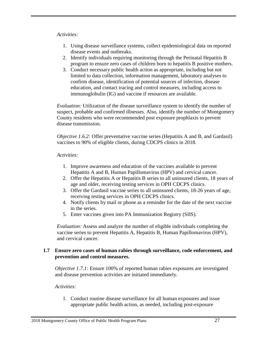#### *Activities:*

- 1. Using disease surveillance systems, collect epidemiological data on reported disease events and outbreaks.
- 2. Identify individuals requiring monitoring through the Perinatal Hepatitis B program to ensure zero cases of children born to hepatitis B positive mothers.
- 3. Conduct necessary public health action as appropriate, including but not limited to data collection, information management, laboratory analyses to confirm disease, identification of potential sources of infection, disease education, and contact tracing and control measures, including access to immunoglobulin (IG) and vaccine if resources are available.

*Evaluation:* Utilization of the disease surveillance system to identify the number of suspect, probable and confirmed illnesses. Also, identify the number of Montgomery County residents who were recommended post exposure prophlaxis to prevent disease transmission.

*Objective 1.6.2:* Offer preventative vaccine series (Hepatitis A and B, and Gardasil) vaccines to 90% of eligible clients, during CDCPS clinics in 2018.

#### *Activities:*

- 1. Improve awareness and education of the vaccines available to prevent Hepatitis A and B, Human Papillomavirus (HPV) and cervical cancer.
- 2. Offer the Hepatitis A or Hepatitis B series to all uninsured clients, 18 years of age and older, receiving testing services in OPH CDCPS clinics.
- 3. Offer the Gardasil vaccine series to all uninsured clients, 18-26 years of age, receiving testing services in OPH CDCPS clinics.
- 4. Notify clients by mail or phone as a reminder for the date of the next vaccine in the series.
- 5. Enter vaccines given into PA Immunization Registry (SIIS).

*Evaluation:* Assess and analyze the number of eligible individuals completing the vaccine series to prevent Hepatitis A, Hepatitis B, Human Papillomavirus (HPV), and cervical cancer.

#### **1.7 Ensure zero cases of human rabies through surveillance, code enforcement, and prevention and control measures.**

*Objective 1.7.1:* Ensure 100% of reported human rabies exposures are investigated and disease prevention activities are initiated immediately.

#### *Activities:*

1. Conduct routine disease surveillance for all human exposures and issue appropriate public health action, as needed, including post-exposure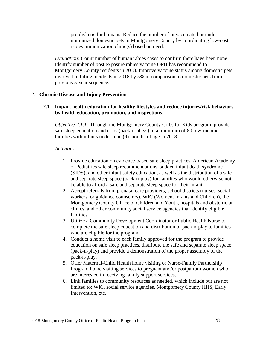prophylaxis for humans. Reduce the number of unvaccinated or underimmunized domestic pets in Montgomery County by coordinating low-cost rabies immunization clinic(s) based on need.

*Evaluation:* Count number of human rabies cases to confirm there have been none. Identify number of post exposure rabies vaccine OPH has recommend to Montgomery County residents in 2018. Improve vaccine status among domestic pets involved in biting incidents in 2018 by 5% in comparison to domestic pets from previous 5-year sequence.

#### 2. **Chronic Disease and Injury Prevention**

#### **2.1 Impart health education for healthy lifestyles and reduce injuries/risk behaviors by health education, promotion, and inspections.**

*Objective 2.1.1:* Through the Montgomery County Cribs for Kids program, provide safe sleep education and cribs (pack-n-plays) to a minimum of 80 low-income families with infants under nine (9) months of age in 2018.

- 1. Provide education on evidence-based safe sleep practices, American Academy of Pediatrics safe sleep recommendations, sudden infant death syndrome (SIDS), and other infant safety education, as well as the distribution of a safe and separate sleep space (pack-n-play) for families who would otherwise not be able to afford a safe and separate sleep space for their infant.
- 2. Accept referrals from prenatal care providers, school districts (nurses, social workers, or guidance counselors), WIC (Women, Infants and Children), the Montgomery County Office of Children and Youth, hospitals and obstetrician clinics, and other community social service agencies that identify eligible families.
- 3. Utilize a Community Development Coordinator or Public Health Nurse to complete the safe sleep education and distribution of pack-n-play to families who are eligible for the program.
- 4. Conduct a home visit to each family approved for the program to provide education on safe sleep practices, distribute the safe and separate sleep space (pack-n-play) and provide a demonstration of the proper assembly of the pack-n-play.
- 5. Offer Maternal-Child Health home visiting or Nurse-Family Partnership Program home visiting services to pregnant and/or postpartum women who are interested in receiving family support services.
- 6. Link families to community resources as needed, which include but are not limited to: WIC, social service agencies, Montgomery County HHS, Early Intervention, etc.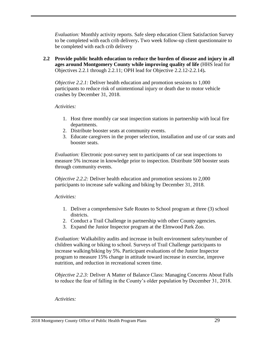*Evaluation:* Monthly activity reports. Safe sleep education Client Satisfaction Survey to be completed with each crib delivery**.** Two week follow-up client questionnaire to be completed with each crib delivery

**2.2 Provide public health education to reduce the burden of disease and injury in all ages around Montgomery County while improving quality of life** (HHS lead for Objectives 2.2.1 through 2.2.11; OPH lead for Objective 2.2.12-2.2.14)**.**

*Objective 2.2.1:* Deliver health education and promotion sessions to 1,000 participants to reduce risk of unintentional injury or death due to motor vehicle crashes by December 31, 2018.

#### *Activities:*

- 1. Host three monthly car seat inspection stations in partnership with local fire departments.
- 2. Distribute booster seats at community events.
- 3. Educate caregivers in the proper selection, installation and use of car seats and booster seats.

*Evaluation:* Electronic post-survey sent to participants of car seat inspections to measure 5% increase in knowledge prior to inspection. Distribute 500 booster seats through community events.

*Objective 2.2.2:* Deliver health education and promotion sessions to 2,000 participants to increase safe walking and biking by December 31, 2018.

#### *Activities:*

- 1. Deliver a comprehensive Safe Routes to School program at three (3) school districts.
- 2. Conduct a Trail Challenge in partnership with other County agencies.
- 3. Expand the Junior Inspector program at the Elmwood Park Zoo.

*Evaluation:* Walkability audits and increase in built environment safety/number of children walking or biking to school. Surveys of Trail Challenge participants to increase walking/biking by 5%. Participant evaluations of the Junior Inspector program to measure 15% change in attitude toward increase in exercise, improve nutrition, and reduction in recreational screen time.

*Objective 2.2.3:* Deliver A Matter of Balance Class: Managing Concerns About Falls to reduce the fear of falling in the County's older population by December 31, 2018.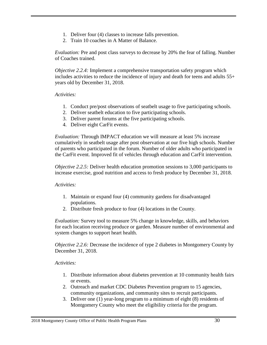- 1. Deliver four (4) classes to increase falls prevention.
- 2. Train 10 coaches in A Matter of Balance.

*Evaluation:* Pre and post class surveys to decrease by 20% the fear of falling. Number of Coaches trained.

*Objective 2.2.4:* Implement a comprehensive transportation safety program which includes activities to reduce the incidence of injury and death for teens and adults 55+ years old by December 31, 2018.

#### *Activities:*

- 1. Conduct pre/post observations of seatbelt usage to five participating schools.
- 2. Deliver seatbelt education to five participating schools.
- 3. Deliver parent forums at the five participating schools.
- 4. Deliver eight CarFit events.

*Evaluation:* Through IMPACT education we will measure at least 5% increase cumulatively in seatbelt usage after post observation at our five high schools. Number of parents who participated in the forum. Number of older adults who participated in the CarFit event. Improved fit of vehicles through education and CarFit intervention.

*Objective 2.2.5:* Deliver health education promotion sessions to 3,000 participants to increase exercise, good nutrition and access to fresh produce by December 31, 2018.

#### *Activities:*

- 1. Maintain or expand four (4) community gardens for disadvantaged populations.
- 2. Distribute fresh produce to four (4) locations in the County.

*Evaluation:* Survey tool to measure 5% change in knowledge, skills, and behaviors for each location receiving produce or garden. Measure number of environmental and system changes to support heart health.

*Objective 2.2.6:* Decrease the incidence of type 2 diabetes in Montgomery County by December 31, 2018.

- 1. Distribute information about diabetes prevention at 10 community health fairs or events.
- 2. Outreach and market CDC Diabetes Prevention program to 15 agencies, community organizations, and community sites to recruit participants.
- 3. Deliver one (1) year-long program to a minimum of eight (8) residents of Montgomery County who meet the eligibility criteria for the program.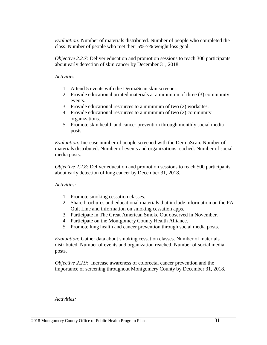*Evaluation:* Number of materials distributed. Number of people who completed the class. Number of people who met their 5%-7% weight loss goal.

*Objective 2.2.7:* Deliver education and promotion sessions to reach 300 participants about early detection of skin cancer by December 31, 2018.

#### *Activities:*

- 1. Attend 5 events with the DermaScan skin screener.
- 2. Provide educational printed materials at a minimum of three (3) community events.
- 3. Provide educational resources to a minimum of two (2) worksites.
- 4. Provide educational resources to a minimum of two (2) community organizations.
- 5. Promote skin health and cancer prevention through monthly social media posts.

*Evaluation:* Increase number of people screened with the DermaScan. Number of materials distributed. Number of events and organizations reached. Number of social media posts.

*Objective 2.2.8:* Deliver education and promotion sessions to reach 500 participants about early detection of lung cancer by December 31, 2018.

#### *Activities:*

- 1. Promote smoking cessation classes.
- 2. Share brochures and educational materials that include information on the PA Quit Line and information on smoking cessation apps.
- 3. Participate in The Great American Smoke Out observed in November.
- 4. Participate on the Montgomery County Health Alliance.
- 5. Promote lung health and cancer prevention through social media posts.

*Evaluation:* Gather data about smoking cessation classes. Number of materials distributed. Number of events and organization reached. Number of social media posts.

*Objective 2.2.9:* Increase awareness of colorectal cancer prevention and the importance of screening throughout Montgomery County by December 31, 2018.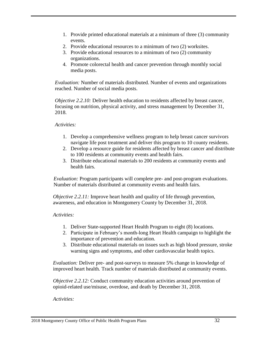- 1. Provide printed educational materials at a minimum of three (3) community events.
- 2. Provide educational resources to a minimum of two (2) worksites.
- 3. Provide educational resources to a minimum of two (2) community organizations.
- 4. Promote colorectal health and cancer prevention through monthly social media posts.

*Evaluation:* Number of materials distributed. Number of events and organizations reached. Number of social media posts.

*Objective 2.2.10:* Deliver health education to residents affected by breast cancer, focusing on nutrition, physical activity, and stress management by December 31, 2018.

#### *Activities:*

- 1. Develop a comprehensive wellness program to help breast cancer survivors navigate life post treatment and deliver this program to 10 county residents.
- 2. Develop a resource guide for residents affected by breast cancer and distribute to 100 residents at community events and health fairs.
- 3. Distribute educational materials to 200 residents at community events and health fairs.

*Evaluation:* Program participants will complete pre- and post-program evaluations. Number of materials distributed at community events and health fairs.

*Objective 2.2.11:* Improve heart health and quality of life through prevention, awareness, and education in Montgomery County by December 31, 2018.

#### *Activities:*

- 1. Deliver State-supported Heart Health Program to eight (8) locations.
- 2. Participate in February's month-long Heart Health campaign to highlight the importance of prevention and education.
- 3. Distribute educational materials on issues such as high blood pressure, stroke warning signs and symptoms, and other cardiovascular health topics.

*Evaluation:* Deliver pre- and post-surveys to measure 5% change in knowledge of improved heart health*.* Track number of materials distributed at community events.

*Objective 2.2.12:* Conduct community education activities around prevention of opioid-related use/misuse, overdose, and death by December 31, 2018.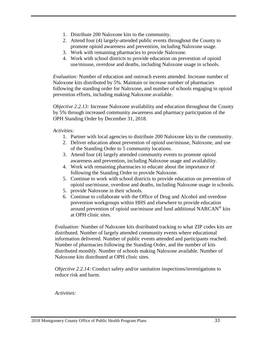- 1. Distribute 200 Naloxone kits to the community.
- 2. Attend four (4) largely-attended public events throughout the County to promote opioid awareness and prevention, including Naloxone usage.
- 3. Work with remaining pharmacies to provide Naloxone.
- 4. Work with school districts to provide education on prevention of opioid use/misuse, overdose and deaths, including Naloxone usage in schools.

*Evaluation:* Number of education and outreach events attended. Increase number of Naloxone kits distributed by 5%. Maintain or increase number of pharmacies following the standing order for Naloxone, and number of schools engaging in opioid prevention efforts, including making Naloxone available.

*Objective 2.2.13:* Increase Naloxone availability and education throughout the County by 5% through increased community awareness and pharmacy participation of the OPH Standing Order by December 31, 2018.

#### *Activities:*

- 1. Partner with local agencies to distribute 200 Naloxone kits to the community.
- 2. Deliver education about prevention of opioid use/misuse, Naloxone, and use of the Standing Order to 5 community locations.
- 3. Attend four (4) largely attended community events to promote opioid awareness and prevention, including Naloxone usage and availability.
- 4. Work with remaining pharmacies to educate about the importance of following the Standing Order to provide Naloxone.
- 5. Continue to work with school districts to provide education on prevention of opioid use/misuse, overdose and deaths, including Naloxone usage in schools.
- 5. provide Naloxone in their schools.
- 6. Continue to collaborate with the Office of Drug and Alcohol and overdose prevention workgroups within HHS and elsewhere to provide education around prevention of opioid use/misuse and fund additional NARCAN® kits at OPH clinic sites.

*Evaluation:* Number of Naloxone kits distributed tracking to what ZIP codes kits are distributed. Number of largely attended community events where educational information delivered. Number of public events attended and participants reached. Number of pharmacies following the Standing Order, and the number of kits distributed monthly. Number of schools making Naloxone available. Number of Naloxone kits distributed at OPH clinic sites.

*Objective 2.2.14:* Conduct safety and/or sanitation inspections/investigations to reduce risk and harm.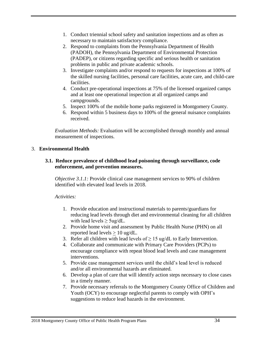- 1. Conduct triennial school safety and sanitation inspections and as often as necessary to maintain satisfactory compliance.
- 2. Respond to complaints from the Pennsylvania Department of Health (PADOH), the Pennsylvania Department of Environmental Protection (PADEP), or citizens regarding specific and serious health or sanitation problems in public and private academic schools.
- 3. Investigate complaints and/or respond to requests for inspections at 100% of the skilled nursing facilities, personal care facilities, acute care, and child-care facilities.
- 4. Conduct pre-operational inspections at 75% of the licensed organized camps and at least one operational inspection at all organized camps and campgrounds.
- 5. Inspect 100% of the mobile home parks registered in Montgomery County.
- 6. Respond within 5 business days to 100% of the general nuisance complaints received.

*Evaluation Methods:* Evaluation will be accomplished through monthly and annual measurement of inspections.

#### 3. **Environmental Health**

#### **3.1. Reduce prevalence of childhood lead poisoning through surveillance, code enforcement, and prevention measures.**

*Objective 3.1.1:* Provide clinical case management services to 90% of children identified with elevated lead levels in 2018.

- 1. Provide education and instructional materials to parents/guardians for reducing lead levels through diet and environmental cleaning for all children with lead levels  $\geq$  5ug/dL.
- 2. Provide home visit and assessment by Public Health Nurse (PHN) on all reported lead levels > 10 ug/dL.
- 3. Refer all children with lead levels of  $> 15 \text{ ug/d}$  to Early Intervention.
- 4. Collaborate and communicate with Primary Care Providers (PCPs) to encourage compliance with repeat blood lead levels and case management interventions.
- 5. Provide case management services until the child's lead level is reduced and/or all environmental hazards are eliminated.
- 6. Develop a plan of care that will identify action steps necessary to close cases in a timely manner.
- 7. Provide necessary referrals to the Montgomery County Office of Children and Youth (OCY) to encourage neglectful parents to comply with OPH's suggestions to reduce lead hazards in the environment.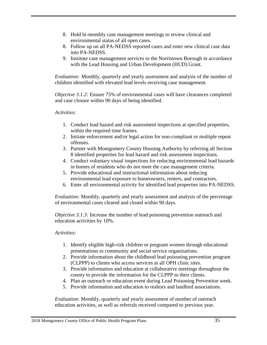- 8. Hold bi-monthly case management meetings to review clinical and environmental status of all open cases.
- 8. Follow up on all PA-NEDSS reported cases and enter new clinical case data into PA-NEDSS.
- 9. Institute case management services to the Norristown Borough in accordance with the Lead Housing and Urban Development (HUD) Grant.

*Evaluation:* Monthly, quarterly and yearly assessment and analysis of the number of children identified with elevated lead levels receiving case management.

*Objective 3.1.2:* Ensure 75% of environmental cases will have clearances completed and case closure within 90 days of being identified.

#### *Activities:*

- 1. Conduct lead hazard and risk assessment inspections at specified properties, within the required time frames.
- 2. Initiate enforcement and/or legal action for non-compliant or multiple repeat offenses.
- 3. Partner with Montgomery County Housing Authority by referring all Section 8 identified properties for lead hazard and risk assessment inspections.
- 4. Conduct voluntary visual inspections for reducing environmental lead hazards in homes of residents who do not meet the case management criteria.
- 5. Provide educational and instructional information about reducing environmental lead exposure to homeowners, renters, and contractors.
- 6. Enter all environmental activity for identified lead properties into PA-NEDSS.

*Evaluation:* Monthly, quarterly and yearly assessment and analysis of the percentage of environmental cases cleared and closed within 90 days.

*Objective 3.1.3:* Increase the number of lead poisoning prevention outreach and education activities by 10%.

#### *Activities:*

- 1. Identify eligible high-risk children or pregnant women through educational presentations to community and social service organizations.
- 2. Provide information about the childhood lead poisoning prevention program (CLPPP) to clients who access services at all OPH clinic sites.
- 3. Provide information and education at collaborative meetings throughout the county to provide the information for the CLPPP to their clients.
- 4. Plan an outreach or education event during Lead Poisoning Prevention week.
- 5. Provide information and education to realtors and landlord associations.

*Evaluation:* Monthly, quarterly and yearly assessment of number of outreach education activities, as well as referrals received compared to previous year.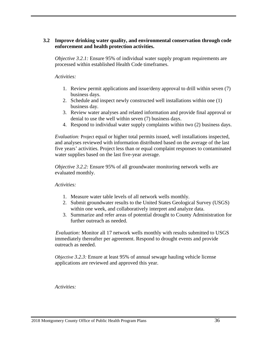#### **3.2 Improve drinking water quality, and environmental conservation through code enforcement and health protection activities.**

*Objective 3.2.1:* Ensure 95% of individual water supply program requirements are processed within established Health Code timeframes.

#### *Activities:*

- 1. Review permit applications and issue/deny approval to drill within seven (7) business days.
- 2. Schedule and inspect newly constructed well installations within one (1) business day.
- 3. Review water analyses and related information and provide final approval or denial to use the well within seven (7) business days.
- 4. Respond to individual water supply complaints within two (2) business days.

*Evaluation:* Project equal or higher total permits issued, well installations inspected, and analyses reviewed with information distributed based on the average of the last five years' activities. Project less than or equal complaint responses to contaminated water supplies based on the last five-year average.

*Objective 3.2.2:* Ensure 95% of all groundwater monitoring network wells are evaluated monthly.

#### *Activities:*

- 1. Measure water table levels of all network wells monthly.
- 2. Submit groundwater results to the United States Geological Survey (USGS) within one week, and collaboratively interpret and analyze data.
- 3. Summarize and refer areas of potential drought to County Administration for further outreach as needed.

 *Evaluation:* Monitor all 17 network wells monthly with results submitted to USGS immediately thereafter per agreement. Respond to drought events and provide outreach as needed.

*Objective 3.2.3:* Ensure at least 95% of annual sewage hauling vehicle license applications are reviewed and approved this year.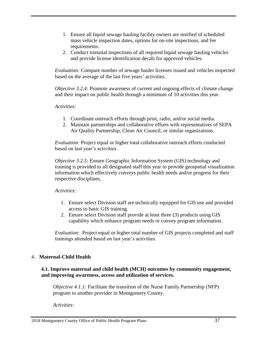- 1. Ensure all liquid sewage hauling facility owners are notified of scheduled mass vehicle inspection dates, options for on-site inspections, and fee requirements.
- 2. Conduct triennial inspections of all required liquid sewage hauling vehicles and provide license identification decals for approved vehicles.

*Evaluation:* Compare number of sewage hauler licenses issued and vehicles inspected based on the average of the last five years' activities.

*Objective 3.2.4:* Promote awareness of current and ongoing effects of climate change and their impact on public health through a minimum of 10 activities this year.

#### *Activities:*

- 1. Coordinate outreach efforts through print, radio, and/or social media.
- 2. Maintain partnerships and collaborative efforts with representatives of SEPA Air Quality Partnership, Clean Air Council, or similar organizations.

*Evaluation:* Project equal or higher total collaborative outreach efforts conducted based on last year's activities.

*Objective 3.2.5:* Ensure Geographic Information System (GIS) technology and training is provided to all designated staff this year to provide geospatial visualization information which effectively conveys public health needs and/or progress for their respective disciplines.

#### *Activities:*

- 1. Ensure select Division staff are technically equipped for GIS use and provided access to basic GIS training.
- 2. Ensure select Division staff provide at least three (3) products using GIS capability which enhance program needs or convey program information.

*Evaluation:* Project equal or higher total number of GIS projects completed and staff trainings attended based on last year's activities.

#### 4. **Maternal-Child Health**

#### **4.1. Improve maternal and child health (MCH) outcomes by community engagement, and improving awareness, access and utilization of services.**

*Objective 4.1.1:* Facilitate the transition of the Nurse Family Partnership (NFP) program to another provider in Montgomery County.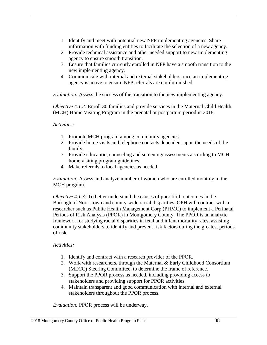- 1. Identify and meet with potential new NFP implementing agencies. Share information with funding entities to facilitate the selection of a new agency.
- 2. Provide technical assistance and other needed support to new implementing agency to ensure smooth transition.
- 3. Ensure that families currently enrolled in NFP have a smooth transition to the new implementing agency.
- 4. Communicate with internal and external stakeholders once an implementing agency is active to ensure NFP referrals are not diminished.

*Evaluation:* Assess the success of the transition to the new implementing agency.

*Objective 4.1.2:* Enroll 30 families and provide services in the Maternal Child Health (MCH) Home Visiting Program in the prenatal or postpartum period in 2018.

*Activities:*

- 1. Promote MCH program among community agencies.
- 2. Provide home visits and telephone contacts dependent upon the needs of the family.
- 3. Provide education, counseling and screening/assessments according to MCH home visiting program guidelines.
- 4. Make referrals to local agencies as needed.

*Evaluation:* Assess and analyze number of women who are enrolled monthly in the MCH program.

*Objective 4.1.3:* To better understand the causes of poor birth outcomes in the Borough of Norristown and county-wide racial disparities, OPH will contract with a researcher such as Public Health Management Corp (PHMC) to implement a Perinatal Periods of Risk Analysis (PPOR) in Montgomery County. The PPOR is an analytic framework for studying racial disparities in fetal and infant mortality rates, assisting community stakeholders to identify and prevent risk factors during the greatest periods of risk.

#### *Activities:*

- 1. Identify and contract with a research provider of the PPOR.
- 2. Work with researchers, through the Maternal & Early Childhood Consortium (MECC) Steering Committee, to determine the frame of reference.
- 3. Support the PPOR process as needed, including providing access to stakeholders and providing support for PPOR activities.
- 4. Maintain transparent and good communication with internal and external stakeholders throughout the PPOR process.

*Evaluation:* PPOR process will be underway.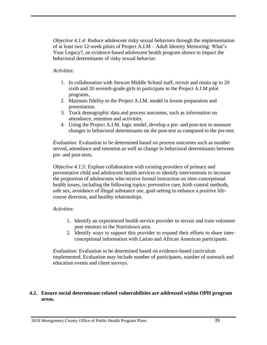*Objective 4.1.4:* Reduce adolescent risky sexual behaviors through the implementation of at least two 12-week pilots of Project A.I.M – Adult Identity Mentoring: What's Your Legacy?, an evidence-based adolescent health program shown to impact the behavioral determinants of risky sexual behavior.

#### *Activities:*

- 1. In collaboration with Stewart Middle School staff, recruit and retain up to 20 sixth and 20 seventh-grade girls to participate in the Project A.I.M pilot programs.
- 2. Maintain fidelity to the Project A.I.M. model in lesson preparation and presentation.
- 3. Track demographic data and process outcomes, such as information on attendance, retention and activities.
- 4. Using the Project A.I.M. logic model, develop a pre- and post-test to measure changes in behavioral determinants on the post-test as compared to the pre-test.

*Evaluation:* Evaluation to be determined based on process outcomes such as number served, attendance and retention as well as change in behavioral determinants between pre- and post-tests.

*Objective 4.1.5:* Explore collaboration with existing providers of primary and preventative child and adolescent health services to identify interventions to increase the proportion of adolescents who receive formal instruction on inter-conceptional health issues, including the following topics: preventive care, birth control methods, safe sex, avoidance of illegal substance use, goal-setting to enhance a positive lifecourse direction, and healthy relationships.

#### *Activities:*

- 1. Identify an experienced health service provider to recruit and train volunteer peer mentors in the Norristown area.
- 2. Identify ways to support this provider to expand their efforts to share interconceptional information with Latino and African American participants.

*Evaluation:* Evaluation to be determined based on evidence-based curriculum implemented. Evaluation may include number of participants, number of outreach and education events and client surveys.

#### **4.2. Ensure social determinant-related vulnerabilities are addressed within OPH program areas.**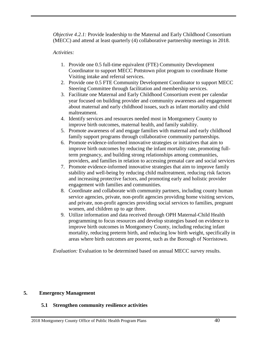*Objective 4.2.1:* Provide leadership to the Maternal and Early Childhood Consortium (MECC) and attend at least quarterly (4) collaborative partnership meetings in 2018.

#### *Activities:*

- 1. Provide one 0.5 full-time equivalent (FTE) Community Development Coordinator to support MECC Pottstown pilot program to coordinate Home Visiting intake and referral services.
- 2. Provide one 0.5 FTE Community Development Coordinator to support MECC Steering Committee through facilitation and membership services.
- 3. Facilitate one Maternal and Early Childhood Consortium event per calendar year focused on building provider and community awareness and engagement about maternal and early childhood issues, such as infant mortality and child maltreatment.
- 4. Identify services and resources needed most in Montgomery County to improve birth outcomes, maternal health, and family stability.
- 5. Promote awareness of and engage families with maternal and early childhood family support programs through collaborative community partnerships.
- 6. Promote evidence-informed innovative strategies or initiatives that aim to improve birth outcomes by reducing the infant mortality rate, promoting fullterm pregnancy, and building strong relationships among communities, providers, and families in relation to accessing prenatal care and social services
- 7. Promote evidence-informed innovative strategies that aim to improve family stability and well-being by reducing child maltreatment, reducing risk factors and increasing protective factors, and promoting early and holistic provider engagement with families and communities.
- 8. Coordinate and collaborate with community partners, including county human service agencies, private, non-profit agencies providing home visiting services, and private, non-profit agencies providing social services to families, pregnant women, and children up to age three.
- 9. Utilize information and data received through OPH Maternal-Child Health programming to focus resources and develop strategies based on evidence to improve birth outcomes in Montgomery County, including reducing infant mortality, reducing preterm birth, and reducing low birth weight, specifically in areas where birth outcomes are poorest, such as the Borough of Norristown.

*Evaluation:* Evaluation to be determined based on annual MECC survey results.

#### **5. Emergency Management**

#### **5.1 Strengthen community resilience activities**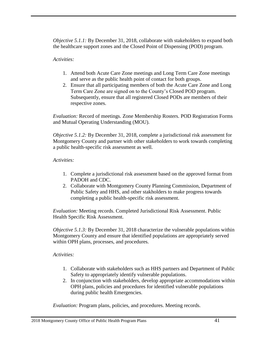*Objective 5.1.1:* By December 31, 2018, collaborate with stakeholders to expand both the healthcare support zones and the Closed Point of Dispensing (POD) program.

#### *Activities:*

- 1. Attend both Acute Care Zone meetings and Long Term Care Zone meetings and serve as the public health point of contact for both groups.
- 2. Ensure that all participating members of both the Acute Care Zone and Long Term Care Zone are signed on to the County's Closed POD program. Subsequently, ensure that all registered Closed PODs are members of their respective zones.

*Evaluation:* Record of meetings. Zone Membership Rosters. POD Registration Forms and Mutual Operating Understanding (MOU).

*Objective 5.1.2:* By December 31, 2018, complete a jurisdictional risk assessment for Montgomery County and partner with other stakeholders to work towards completing a public health-specific risk assessment as well.

#### *Activities:*

- 1. Complete a jurisdictional risk assessment based on the approved format from PADOH and CDC.
- 2. Collaborate with Montgomery County Planning Commission, Department of Public Safety and HHS, and other stakholders to make progress towards completing a public health-specific risk assessment.

*Evaluation:* Meeting records. Completed Jurisdictional Risk Assessment. Public Health Specific Risk Assessment.

*Objective 5.1.3:* By December 31, 2018 characterize the vulnerable populations within Montgomery County and ensure that identified populations are appropriately served within OPH plans, processes, and procedures.

#### *Activities:*

- 1. Collaborate with stakeholders such as HHS partners and Department of Public Safety to appropriately identify vulnerable populations.
- 2. In conjunction with stakeholders, develop appropriate accommodations within OPH plans, policies and procedures for identified vulnerable populations during public health Emergencies.

*Evaluation:* Program plans, policies, and procedures. Meeting records.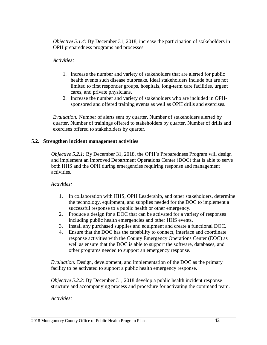*Objective 5.1.4:* By December 31, 2018, increase the participation of stakeholders in OPH preparedness programs and processes.

#### *Activities:*

- 1. Increase the number and variety of stakeholders that are alerted for public health events such disease outbreaks. Ideal stakeholders include but are not limited to first responder groups, hospitals, long-term care facilities, urgent cares, and private physicians.
- 2. Increase the number and variety of stakeholders who are included in OPHsponsored and offered training events as well as OPH drills and exercises.

*Evaluation:* Number of alerts sent by quarter. Number of stakeholders alerted by quarter. Number of trainings offered to stakeholders by quarter. Number of drills and exercises offered to stakeholders by quarter.

#### **5.2. Strengthen incident management activities**

*Objective 5.2.1:* By December 31, 2018, the OPH's Preparedness Program will design and implement an improved Department Operations Center (DOC) that is able to serve both HHS and the OPH during emergencies requiring response and management activities.

#### *Activities:*

- 1. In collaboration with HHS, OPH Leadership, and other stakeholders, determine the technology, equipment, and supplies needed for the DOC to implement a successful response to a public health or other emergency.
- 2. Produce a design for a DOC that can be activated for a variety of responses including public health emergencies and other HHS events.
- 3. Install any purchased supplies and equipment and create a functional DOC.
- 4. Ensure that the DOC has the capability to connect, interface and coordinate response activities with the County Emergency Operations Center (EOC) as well as ensure that the DOC is able to support the software, databases, and other programs needed to support an emergency response.

*Evaluation:* Design, development, and implementation of the DOC as the primary facility to be activated to support a public health emergency response.

*Objective 5.2.2:* By December 31, 2018 develop a public health incident response structure and accompanying process and procedure for activating the command team.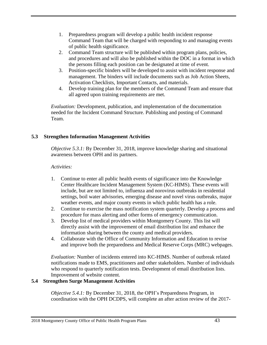- 1. Preparedness program will develop a public health incident response Command Team that will be charged with responding to and managing events of public health significance.
- 2. Command Team structure will be published within program plans, policies, and procedures and will also be published within the DOC in a format in which the persons filling each position can be designated at time of event.
- 3. Position-specific binders will be developed to assist with incident response and management. The binders will include documents such as Job Action Sheets, Activation Checklists, Important Contacts, and materials.
- 4. Develop training plan for the members of the Command Team and ensure that all agreed upon training requirements are met.

*Evaluation:* Development, publication, and implementation of the documentation needed for the Incident Command Structure. Publishing and posting of Command Team.

#### **5.3 Strengthen Information Management Activities**

*Objective 5.3.1:* By December 31, 2018, improve knowledge sharing and situational awareness between OPH and its partners.

#### *Activities:*

- 1. Continue to enter all public health events of significance into the Knowledge Center Healthcare Incident Management System (KC-HIMS). These events will include, but are not limited to, influenza and norovirus outbreaks in residential settings, boil water advisories, emerging disease and novel virus outbreaks, major weather events, and major county events in which public health has a role.
- 2. Continue to exercise the mass notification system quarterly. Develop a process and procedure for mass alerting and other forms of emergency communication.
- 3. Develop list of medical providers within Montgomery County. This list will directly assist with the improvement of email distribution list and enhance the information sharing between the county and medical providers.
- 4. Collaborate with the Office of Community Information and Education to revise and improve both the preparedness and Medical Reserve Corps (MRC) webpages.

*Evaluation:* Number of incidents entered into KC-HIMS. Number of outbreak related notifications made to EMS, practitioners and other stakeholders. Number of individuals who respond to quarterly notification tests. Development of email distribution lists. Improvement of website content.

#### **5.4 Strengthen Surge Management Activities**

*Objective 5.4.1:* By December 31, 2018, the OPH's Preparedness Program, in coordination with the OPH DCDPS, will complete an after action review of the 2017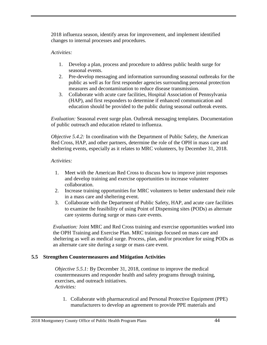2018 influenza season, identify areas for improvement, and implement identified changes to internal processes and procedures.

#### *Activities:*

- 1. Develop a plan, process and procedure to address public health surge for seasonal events.
- 2. Pre-develop messaging and information surrounding seasonal outbreaks for the public as well as for first responder agencies surrounding personal protection measures and decontamination to reduce disease transmission.
- 3. Collaborate with acute care facilities, Hospital Association of Pennsylvania (HAP), and first responders to determine if enhanced communication and education should be provided to the public during seasonal outbreak events.

*Evaluation:* Seasonal event surge plan. Outbreak messaging templates. Documentation of public outreach and education related to influenza.

*Objective 5.4.2:* In coordination with the Department of Public Safety, the American Red Cross, HAP, and other partners, determine the role of the OPH in mass care and sheltering events, especially as it relates to MRC volunteers, by December 31, 2018.

#### *Activities:*

- 1. Meet with the American Red Cross to discuss how to improve joint responses and develop training and exercise opportunities to increase volunteer collaboration.
- 2. Increase training opportunities for MRC volunteers to better understand their role in a mass care and sheltering event.
- 3. Collaborate with the Department of Public Safety, HAP, and acute care facilities to examine the feasibility of using Point of Dispensing sites (PODs) as alternate care systems during surge or mass care events.

*Evaluation:* Joint MRC and Red Cross training and exercise opportunities worked into the OPH Training and Exercise Plan. MRC trainings focused on mass care and sheltering as well as medical surge. Process, plan, and/or procedure for using PODs as an alternate care site during a surge or mass care event.

#### **5.5 Strengthen Countermeasures and Mitigation Activities**

*Objective 5.5.1:* By December 31, 2018, continue to improve the medical countermeasures and responder health and safety programs through training, exercises, and outreach initiatives. *Activities:*

1. Collaborate with pharmaceutical and Personal Protective Equipment (PPE) manufacturers to develop an agreement to provide PPE materials and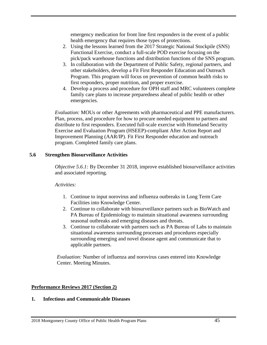emergency medication for front line first responders in the event of a public health emergency that requires those types of protections.

- 2. Using the lessons learned from the 2017 Strategic National Stockpile (SNS) Functional Exercise, conduct a full-scale POD exercise focusing on the pick/pack warehouse functions and distribution functions of the SNS program.
- 3. In collaboration with the Department of Public Safety, regional partners, and other stakeholders, develop a Fit First Responder Education and Outreach Program. This program will focus on prevention of common health risks to first responders, proper nutrition, and proper exercise.
- 4. Develop a process and procedure for OPH staff and MRC volunteers complete family care plans to increase preparedness ahead of public health or other emergencies.

*Evaluation:* MOUs or other Agreements with pharmaceutical and PPE manufacturers. Plan, process, and procedure for how to procure needed equipment to partners and distribute to first responders. Executed full-scale exercise with Homeland Security Exercise and Evaluation Program (HSEEP)-compliant After Action Report and Improvement Planning (AAR/IP). Fit First Responder education and outreach program. Completed family care plans.

#### **5.6 Strengthen Biosurveillance Activities**

*Objective 5.6.1:* By December 31 2018, improve established biosurveillance activities and associated reporting.

#### *Activities:*

- 1. Continue to input norovirus and influenza outbreaks in Long Term Care Facilities into Knowledge Center.
- 2. Continue to collaborate with biosurveillance partners such as BioWatch and PA Bureau of Epidemiology to maintain situational awareness surrounding seasonal outbreaks and emerging diseases and threats.
- 3. Continue to collaborate with partners such as PA Bureau of Labs to maintain situational awareness surrounding processes and procedures especially surrounding emerging and novel disease agent and communicate that to applicable partners.

*Evaluation:* Number of influenza and norovirus cases entered into Knowledge Center. Meeting Minutes.

#### **Performance Reviews 2017 (Section 2)**

#### **1. Infectious and Communicable Diseases**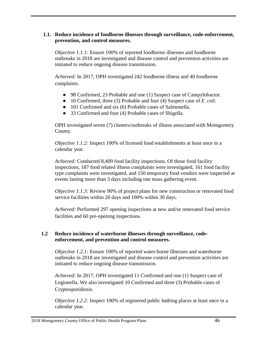#### **1.1. Reduce incidence of foodborne illnesses through surveillance, code-enforcement, prevention, and control measures.**

*Objective 1.1.1:* Ensure 100% of reported foodborne illnesses and foodborne outbreaks in 2018 are investigated and disease control and prevention activities are initiated to reduce ongoing disease transmission.

*Achieved:* In 2017, OPH investigated 242 foodborne illness and 40 foodborne complaints.

- 98 Confirmed, 23 Probable and one (1) Suspect case of Campylobactor.
- 10 Confirmed, three (3) Probable and four (4) Suspect case of *E. coli*.
- 101 Confirmed and six (6) Probable cases of Salmonella.
- 33 Confirmed and four (4) Probable cases of Shigella.

OPH investigated seven (7) clusters/outbreaks of illness associated with Montgomery County.

*Objective 1.1.2:* Inspect 100% of licensed food establishments at least once in a calendar year.

*Achieved:* Conducted 8,409 food facility inspections. Of those food facility inspections, 187 food related illness complaints were investigated, 161 food facility type complaints were investigated, and 150 temporary food vendors were inspected at events lasting more than 3 days including one mass gathering event.

*Objective 1.1.3:* Review 90% of project plans for new construction or renovated food service facilities within 20 days and 100% within 30 days.

*Achieved:* Performed 297 opening inspections at new and/or renovated food service facilities and 60 pre-opening inspections*.* 

#### **1.2 Reduce incidence of waterborne illnesses through surveillance, codeenforcement, and prevention and control measures.**

*Objective 1.2.1:* Ensure 100% of reported water-borne illnesses and waterborne outbreaks in 2018 are investigated and disease control and prevention activities are initiated to reduce ongoing disease transmission.

*Achieved:* In 2017, OPH investigated 11 Confirmed and one (1) Suspect case of Legionella. We also investigated 10 Confirmed and three (3) Probable cases of Cryptosporidiosis.

*Objective 1.2.2:* Inspect 100% of registered public bathing places at least once in a calendar year.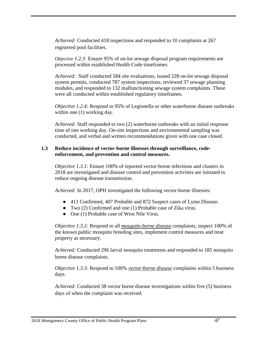*Achieved:* Conducted 418 inspections and responded to 10 complaints at 267 registered pool facilities.

*Objective 1.2.3:* Ensure 95% of on-lot sewage disposal program requirements are processed within established Health Code timeframes.

*Achieved:* Staff conducted 584 site evaluations, issued 228 on-lot sewage disposal system permits, conducted 787 system inspections, reviewed 37 sewage planning modules, and responded to 132 malfunctioning sewage system complaints. These were all conducted within established regulatory timeframes.

*Objective 1.2.4:* Respond to 95% of Legionella or other waterborne disease outbreaks within one  $(1)$  working day.

*Achieved:* Staff responded to two (2) waterborne outbreaks with an initial response time of one working day. On-site inspections and environmental sampling was conducted, and verbal and written recommendations given with one case closed.

#### **1.3 Reduce incidence of vector-borne illnesses through surveillance, codeenforcement, and prevention and control measures.**

*Objective 1.3.1:* Ensure 100% of reported vector-borne infections and clusters in 2018 are investigated and disease control and prevention activities are initiated to reduce ongoing disease transmission.

*Achieved:* In 2017, OPH investigated the following vector-borne illnesses:

- 411 Confirmed, 407 Probable and 872 Suspect cases of Lyme Disease.
- Two (2) Confirmed and one (1) Probable case of Zika virus.
- One (1) Probable case of West Nile Virus.

*Objective 1.3.2:* Respond to all *mosquito-borne disease* complaints, inspect 100% of the known public mosquito breeding sites, implement control measures and treat property as necessary.

*Achieved:* Conducted 296 larval mosquito treatments and responded to 185 mosquito borne disease complaints.

*Objective 1.3.3:* Respond to 100% *vector-borne disease* complaints within 5 business days.

*Achieved:* Conducted 38 vector borne disease investigations within five (5) business days of when the complaint was received.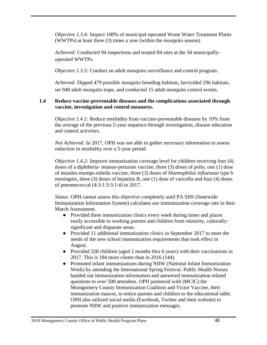*Objective 1.3.4:* Inspect 100% of municipal-operated Waste Water Treatment Plants (WWTPs) at least three (3) times a year (within the mosquito season).

*Achieved:* Conducted 94 inspections and treated 84 sites at the 34 municipallyoperated WWTPs.

*Objective 1.3.5:* Conduct an adult mosquito surveillance and control program.

*Achieved:* Dipped 479 possible mosquito breeding habitats, larvicided 296 habitats, set 948 adult mosquito traps, and conducted 15 adult mosquito control events.

#### **1.4 Reduce vaccine-preventable diseases and the complications associated through vaccine, investigation and control measures.**

*Objective 1.4.1:* Reduce morbidity from vaccine-preventable diseases by 10% from the average of the previous 5-year sequence through investigation, disease education and control activities.

*Not Achieved:* In 2017, OPH was not able to gather necessary information to assess reduction in morbidity over a 5-year period.

*Objective 1.4.2:* Improve immunization coverage level for children receiving four (4) doses of a diphtheria- tetanus-pertussis vaccine, three (3) doses of polio, one (1) dose of measles-mumps-rubella vaccine, three (3) doses of *Haemophilus influenzae* type b meningitis, three (3) doses of hepatitis B, one (1) dose of varicella and four (4) doses of pneumococcal (4:3:1:3:3:1:4) in 2017.

*Status:* OPH cannot assess this objective completely until PA SIIS (Statewide Immunization Information System) calculates our immunization coverage rate in their March Assessment.

- Provided three immunization clinics every week during times and places easily accessible to working parents and children from minority, culturallysignificant and disparate areas.
- Provided 11 additional immunization clinics in September 2017 to meet the needs of the new school immunization requirements that took effect in August.
- Provided 328 children (aged 2 months thru 6 years) with their vaccinations in 2017. This is 184 more clients than in 2016 (144).
- Promoted infant immunizations during NIIW (National Infant Immunization Week) by attending the International Spring Festival. Public Health Nurses handed out immunization information and answered immunization related questions to over 500 attendees. OPH partnered with (MCIC) the Montgomery County Immunization Coalition and Victor Vaccine, their immunization mascot, to entice parents and children to the educational table. OPH also utilized social media (Facebook, Twitter and their website) to promote NIIW and positive immunization messages.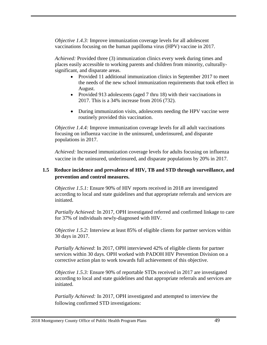*Objective 1.4.3:* Improve immunization coverage levels for all adolescent vaccinations focusing on the human papilloma virus (HPV) vaccine in 2017.

*Achieved:* Provided three (3) immunization clinics every week during times and places easily accessible to working parents and children from minority, culturallysignificant, and disparate areas.

- Provided 11 additional immunization clinics in September 2017 to meet the needs of the new school immunization requirements that took effect in August.
- Provided 913 adolescents (aged 7 thru 18) with their vaccinations in 2017. This is a 34% increase from 2016 (732).
- During immunization visits, adolescents needing the HPV vaccine were routinely provided this vaccination.

*Objective 1.4.4:* Improve immunization coverage levels for all adult vaccinations focusing on influenza vaccine in the uninsured, underinsured, and disparate populations in 2017.

*Achieved:* Increased immunization coverage levels for adults focusing on influenza vaccine in the uninsured, underinsured, and disparate populations by 20% in 2017.

#### **1.5 Reduce incidence and prevalence of HIV, TB and STD through surveillance, and prevention and control measures.**

*Objective 1.5.1:* Ensure 90% of HIV reports received in 2018 are investigated according to local and state guidelines and that appropriate referrals and services are initiated.

*Partially Achieved:* In 2017, OPH investigated referred and confirmed linkage to care for 37% of individuals newly-diagnosed with HIV.

*Objective 1.5.2:* Interview at least 85% of eligible clients for partner services within 30 days in 2017.

*Partially Achieved*: In 2017, OPH interviewed 42% of eligible clients for partner services within 30 days. OPH worked with PADOH HIV Prevention Division on a corrective action plan to work towards full achievement of this objective.

*Objective 1.5.3:* Ensure 90% of reportable STDs received in 2017 are investigated according to local and state guidelines and that appropriate referrals and services are initiated.

*Partially Achieved:* In 2017, OPH investigated and attempted to interview the following confirmed STD investigations: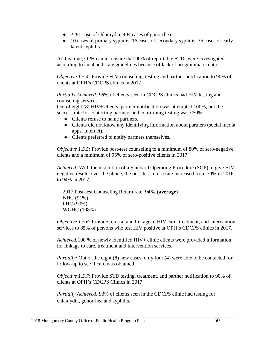- 2281 case of chlamydia, 404 cases of gonorrhea.
- 10 cases of primary syphilis, 16 cases of secondary syphilis, 36 cases of early latent syphilis.

At this time, OPH cannot ensure that 90% of reportable STDs were investigated according to local and state guidelines because of lack of programmatic data.

*Objective 1.5.4:* Provide HIV counseling, testing and partner notification to 90% of clients at OPH's CDCPS clinics in 2017.

*Partially Achieved: 98*% of clients seen in CDCPS clinics had HIV testing and counseling services.

Out of eight (8) HIV+ clients, partner notification was attempted 100%, but the success rate for contacting partners and confirming testing was <50%.

- Clients refuse to name partners.
- Clients did not know any identifying information about partners (social media apps, Internet).
- Clients preferred to notify partners themselves.

*Objective 1.5.5:* Provide post-test counseling to a minimum of 80% of sero-negative clients and a minimum of 95% of sero-positive clients in 2017.

*Achieved:* With the institution of a Standard Operating Procedure (SOP) to give HIV negative results over the phone, the post-test return rate increased from 79% in 2016 to 94% in 2017.

2017 Post-test Counseling Return rate: **94% (average)** NHC (91%) PHC (90%) WGHC (108%)

*Objective 1.5.6:* Provide referral and linkage to HIV care, treatment, and intervention services to 85% of persons who test HIV positive at OPH's CDCPS clinics in 2017.

*Achieved:*100 % of newly identified HIV+ clinic clients were provided information for linkage to care, treatment and intervention services.

*Partially:* Out of the eight (8) new cases, only four (4) were able to be contacted for follow-up to see if care was obtained.

*Objective 1.5.7:* Provide STD testing, treatment, and partner notification to 90% of clients at OPH's CDCPS Clinics in 2017.

*Partially Achieved:* 93% of clients seen in the CDCPS clinic had testing for chlamydia, gonorrhea and syphilis.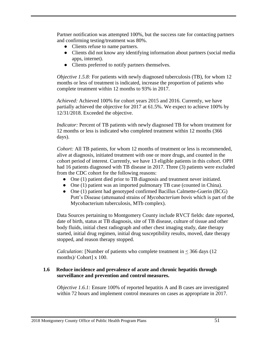Partner notification was attempted 100%, but the success rate for contacting partners and confirming testing/treatment was 80%.

- Clients refuse to name partners.
- Clients did not know any identifying information about partners (social media apps, internet).
- Clients preferred to notify partners themselves.

*Objective 1.5.8:* For patients with newly diagnosed tuberculosis (TB), for whom 12 months or less of treatment is indicated, increase the proportion of patients who complete treatment within 12 months to 93% in 2017.

*Achieved:* Achieved 100% for cohort years 2015 and 2016. Currently, we have partially achieved the objective for 2017 at 61.5%. We expect to achieve 100% by 12/31/2018. Exceeded the objective.

*Indicator:* Percent of TB patients with newly diagnosed TB for whom treatment for 12 months or less is indicated who completed treatment within 12 months (366 days).

*Cohort:* All TB patients, for whom 12 months of treatment or less is recommended, alive at diagnosis, initiated treatment with one or more drugs, and counted in the cohort period of interest. Currently, we have 13 eligible patients in this cohort. OPH had 16 patients diagnosed with TB disease in 2017. Three (3) patients were excluded from the CDC cohort for the following reasons:

- One (1) patient died prior to TB diagnosis and treatment never initiated.
- One (1) patient was an imported pulmonary TB case (counted in China).
- One (1) patient had genotyped confirmed Bacillus Calmette-Guerin (BCG) Pott's Disease (attenuated strains of *Mycobacterium bovis* which is part of the Mycobacterium tuberculosis, MTb complex).

Data Sources pertaining to Montgomery County include RVCT fields: date reported, date of birth, status at TB diagnosis, site of TB disease, culture of tissue and other body fluids, initial chest radiograph and other chest imaging study, date therapy started, initial drug regimen, initial drug susceptibility results, moved, date therapy stopped, and reason therapy stopped.

*Calculation:* [Number of patients who complete treatment in  $\leq$  366 days (12) months)/ Cohort] x 100.

#### **1.6 Reduce incidence and prevalence of acute and chronic hepatitis through surveillance and prevention and control measures.**

*Objective 1.6.1:* Ensure 100% of reported hepatitis A and B cases are investigated within 72 hours and implement control measures on cases as appropriate in 2017.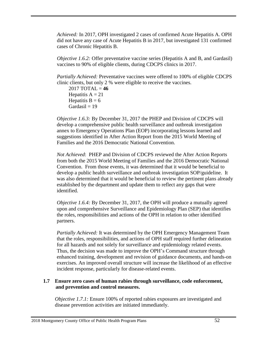*Achieved:* In 2017, OPH investigated 2 cases of confirmed Acute Hepatitis A. OPH did not have any case of Acute Hepatitis B in 2017, but investigated 131 confirmed cases of Chronic Hepatitis B.

*Objective 1.6.2:* Offer preventative vaccine series (Hepatitis A and B, and Gardasil) vaccines to 90% of eligible clients, during CDCPS clinics in 2017.

*Partially Achieved:* Preventative vaccines were offered to 100% of eligible CDCPS clinic clients, but only 2 % were eligible to receive the vaccines.

2017 TOTAL = **46** Hepatitis  $A = 21$ Hepatitis  $B = 6$  $Gardasil = 19$ 

*Objective 1.6.3:* By December 31, 2017 the PHEP and Division of CDCPS will develop a comprehensive public health surveillance and outbreak investigation annex to Emergency Operations Plan (EOP) incorporating lessons learned and suggestions identified in After Action Report from the 2015 World Meeting of Families and the 2016 Democratic National Convention.

*Not Achieved*: PHEP and Division of CDCPS reviewed the After Action Reports from both the 2015 World Meeting of Families and the 2016 Democratic National Convention. From those events, it was determined that it would be beneficial to develop a public health surveillance and outbreak investigation SOP/guideline. It was also determined that it would be beneficial to review the pertinent plans already established by the department and update them to reflect any gaps that were identified.

*Objective 1.6.4:* By December 31, 2017, the OPH will produce a mutually agreed upon and comprehensive Surveillance and Epidemiology Plan (SEP) that identifies the roles, responsibilities and actions of the OPH in relation to other identified partners.

*Partially Achieved:* It was determined by the OPH Emergency Management Team that the roles, responsibilities, and actions of OPH staff required further delineation for all hazards and not solely for surveillance and epidemiology related events. Thus, the decision was made to improve the OPH's Command structure through enhanced training, development and revision of guidance documents, and hands-on exercises. An improved overall structure will increase the likelihood of an effective incident response, particularly for disease-related events.

#### **1.7 Ensure zero cases of human rabies through surveillance, code enforcement, and prevention and control measures.**

*Objective 1.7.1:* Ensure 100% of reported rabies exposures are investigated and disease prevention activities are initiated immediately.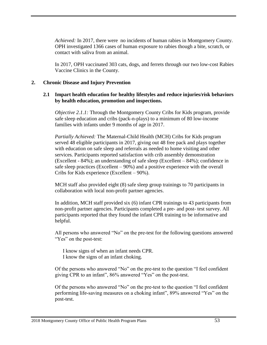*Achieved:* In 2017, there were no incidents of human rabies in Montgomery County. OPH investigated 1366 cases of human exposure to rabies though a bite, scratch, or contact with saliva from an animal.

In 2017, OPH vaccinated 303 cats, dogs, and ferrets through our two low-cost Rabies Vaccine Clinics in the County.

#### **2. Chronic Disease and Injury Prevention**

#### **2.1 Impart health education for healthy lifestyles and reduce injuries/risk behaviors by health education, promotion and inspections.**

*Objective 2.1.1:* Through the Montgomery County Cribs for Kids program, provide safe sleep education and cribs (pack-n-plays) to a minimum of 80 low-income families with infants under 9 months of age in 2017.

*Partially Achieved:* The Maternal-Child Health (MCH) Cribs for Kids program served 48 eligible participants in 2017, giving out 48 free pack and plays together with education on safe sleep and referrals as needed to home visiting and other services. Participants reported satisfaction with crib assembly demonstration (Excellent - 84%); an understanding of safe sleep (Excellent – 84%); confidence in safe sleep practices (Excellent – 90%) and a positive experience with the overall Cribs for Kids experience (Excellent – 90%).

MCH staff also provided eight (8) safe sleep group trainings to 70 participants in collaboration with local non-profit partner agencies.

In addition, MCH staff provided six (6) infant CPR trainings to 43 participants from non-profit partner agencies. Participants completed a pre- and post- test survey. All participants reported that they found the infant CPR training to be informative and helpful.

All persons who answered "No" on the pre-test for the following questions answered "Yes" on the post-test:

I know signs of when an infant needs CPR. I know the signs of an infant choking.

Of the persons who answered "No" on the pre-test to the question "I feel confident giving CPR to an infant", 86% answered "Yes" on the post-test.

Of the persons who answered "No" on the pre-test to the question "I feel confident performing life-saving measures on a choking infant", 89% answered "Yes" on the post-test.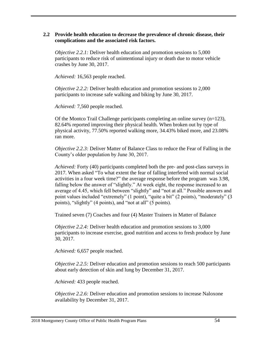#### **2.2 Provide health education to decrease the prevalence of chronic disease, their complications and the associated risk factors.**

*Objective 2.2.1:* Deliver health education and promotion sessions to 5,000 participants to reduce risk of unintentional injury or death due to motor vehicle crashes by June 30, 2017.

*Achieved:* 16,563 people reached.

*Objective 2.2.2:* Deliver health education and promotion sessions to 2,000 participants to increase safe walking and biking by June 30, 2017.

*Achieved:* 7,560 people reached.

Of the Montco Trail Challenge participants completing an online survey  $(n=123)$ , 82.64% reported improving their physical health. When broken out by type of physical activity, 77.50% reported walking more, 34.43% biked more, and 23.08% ran more.

*Objective 2.2.3:* Deliver Matter of Balance Class to reduce the Fear of Falling in the County's older population by June 30, 2017.

*Achieved:* Forty (40) participants completed both the pre- and post-class surveys in 2017. When asked "To what extent the fear of falling interfered with normal social activities in a four week time?" the average response before the program was 3.98, falling below the answer of "slightly." At week eight, the response increased to an average of 4.45, which fell between "slightly" and "not at all." Possible answers and point values included "extremely" (1 point), "quite a bit" (2 points), "moderately" (3 points), "slightly" (4 points), and "not at all" (5 points).

Trained seven (7) Coaches and four (4) Master Trainers in Matter of Balance

*Objective 2.2.4:* Deliver health education and promotion sessions to 3,000 participants to increase exercise, good nutrition and access to fresh produce by June 30, 2017.

*Achieved:* 6,657 people reached.

*Objective 2.2.5:* Deliver education and promotion sessions to reach 500 participants about early detection of skin and lung by December 31, 2017.

*Achieved:* 433 people reached.

*Objective 2.2.6:* Deliver education and promotion sessions to increase Naloxone availability by December 31, 2017.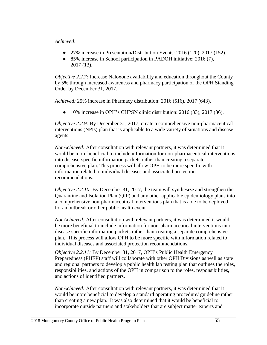#### *Achieved:*

- 27% increase in Presentation/Distribution Events: 2016 (120), 2017 (152).
- 85% increase in School participation in PADOH initiative: 2016 (7), 2017 (13).

*Objective 2.2.7:* Increase Naloxone availability and education throughout the County by 5% through increased awareness and pharmacy participation of the OPH Standing Order by December 31, 2017.

*Achieved:* 25% increase in Pharmacy distribution: 2016 (516), 2017 (643).

● 10% increase in OPH's CHPSN clinic distribution: 2016 (33), 2017 (36).

*Objective 2.2.9:* By December 31, 2017, create a comprehensive non-pharmaceutical interventions (NPIs) plan that is applicable to a wide variety of situations and disease agents.

*Not Achieved:* After consultation with relevant partners, it was determined that it would be more beneficial to include information for non-pharmaceutical interventions into disease-specific information packets rather than creating a separate comprehensive plan. This process will allow OPH to be more specific with information related to individual diseases and associated protection recommendations.

*Objective 2.2.10:* By December 31, 2017, the team will synthesize and strengthen the Quarantine and Isolation Plan (QIP) and any other applicable epidemiology plans into a comprehensive non-pharmaceutical interventions plan that is able to be deployed for an outbreak or other public health event.

*Not Achieved:* After consultation with relevant partners, it was determined it would be more beneficial to include information for non-pharmaceutical interventions into disease specific information packets rather than creating a separate comprehensive plan. This process will allow OPH to be more specific with information related to individual diseases and associated protection recommendations.

*Objective 2.2.11:* By December 31, 2017, OPH's Public Health Emergency Preparedness (PHEP) staff will collaborate with other OPH Divisions as well as state and regional partners to develop a public health lab testing plan that outlines the roles, responsibilities, and actions of the OPH in comparison to the roles, responsibilities, and actions of identified partners.

*Not Achieved:* After consultation with relevant partners, it was determined that it would be more beneficial to develop a standard operating procedure/ guideline rather than creating a new plan. It was also determined that it would be beneficial to incorporate outside partners and stakeholders that are subject matter experts and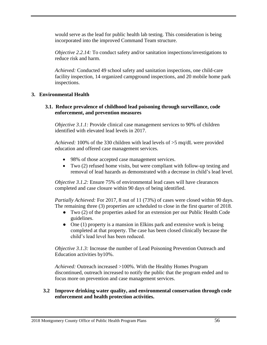would serve as the lead for public health lab testing. This consideration is being incorporated into the improved Command Team structure.

*Objective 2.2.14:* To conduct safety and/or sanitation inspections/investigations to reduce risk and harm.

*Achieved:* Conducted 49 school safety and sanitation inspections, one child-care facility inspection, 14 organized campground inspections, and 20 mobile home park inspections.

#### **3. Environmental Health**

#### **3.1. Reduce prevalence of childhood lead poisoning through surveillance, code enforcement, and prevention measures**

*Objective 3.1.1:* Provide clinical case management services to 90% of children identified with elevated lead levels in 2017.

*Achieved:* 100% of the 330 children with lead levels of >5 mq/dL were provided education and offered case management services.

- 98% of those accepted case management services.
- Two (2) refused home visits, but were compliant with follow-up testing and removal of lead hazards as demonstrated with a decrease in child's lead level.

*Objective 3.1.2:* Ensure 75% of environmental lead cases will have clearances completed and case closure within 90 days of being identified.

*Partially Achieved:* For 2017, 8 out of 11 (73%) of cases were closed within 90 days. The remaining three (3) properties are scheduled to close in the first quarter of 2018.

- Two (2) of the properties asked for an extension per our Public Health Code guidelines.
- One (1) property is a mansion in Elkins park and extensive work is being completed at that property. The case has been closed clinically because the child's lead level has been reduced.

*Objective 3.1.3:* Increase the number of Lead Poisoning Prevention Outreach and Education activities by10%.

*Achieved:* Outreach increased >100%. With the Healthy Homes Program discontinued, outreach increased to notify the public that the program ended and to focus more on prevention and case management services.

#### **3.2 Improve drinking water quality, and environmental conservation through code enforcement and health protection activities.**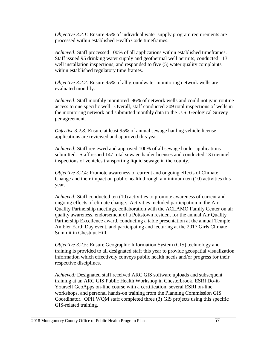*Objective 3.2.1:* Ensure 95% of individual water supply program requirements are processed within established Health Code timeframes.

*Achieved:* Staff processed 100% of all applications within established timeframes. Staff issued 95 drinking water supply and geothermal well permits, conducted 113 well installation inspections, and responded to five (5) water quality complaints within established regulatory time frames.

*Objective 3.2.2:* Ensure 95% of all groundwater monitoring network wells are evaluated monthly.

*Achieved:* Staff monthly monitored 96% of network wells and could not gain routine access to one specific well. Overall, staff conducted 209 total inspections of wells in the monitoring network and submitted monthly data to the U.S. Geological Survey per agreement.

*Objective 3.2.3:* Ensure at least 95% of annual sewage hauling vehicle license applications are reviewed and approved this year.

*Achieved:* Staff reviewed and approved 100% of all sewage hauler applications submitted. Staff issued 147 total sewage hauler licenses and conducted 13 trienniel inspections of vehicles transporting liquid sewage in the county.

*Objective 3.2.4:* Promote awareness of current and ongoing effects of Climate Change and their impact on public health through a minimum ten (10) activities this year.

*Achieved:* Staff conducted ten (10) activities to promote awareness of current and ongoing effects of climate change. Activities included participation in the Air Quality Partnership meetings, collaboration with the ACLAMO Family Center on air quality awareness, endorsement of a Pottstown resident for the annual Air Quality Partnership Excellence award, conducting a table presentation at the annual Temple Ambler Earth Day event, and participating and lecturing at the 2017 Girls Climate Summit in Chestnut Hill.

*Objective 3.2.5:* Ensure Geographic Information System (GIS) technology and training is provided to all designated staff this year to provide geospatial visualization information which effectively conveys public health needs and/or progress for their respective disciplines.

*Achieved:* Designated staff received ARC GIS software uploads and subsequent training at an ARC GIS Public Health Workshop in Chesterbrook, ESRI Do-it-Yourself GeoApps on-line course with a certification, several ESRI on-line workshops, and personal hands-on training from the Planning Commission GIS Coordinator. OPH WQM staff completed three (3) GIS projects using this specific GIS-related training.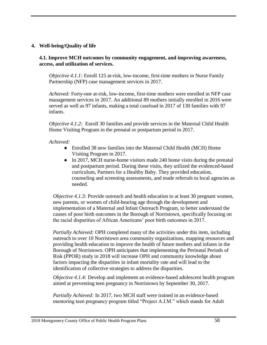#### **4. Well-being/Quality of life**

**4.1. Improve MCH outcomes by community engagement, and improving awareness, access, and utilization of services.**

*Objective 4.1.1:* Enroll 125 at-risk, low-income, first-time mothers in Nurse Family Partnership (NFP) case management services in 2017.

*Achieved:* Forty-one at-risk, low-income, first-time mothers were enrolled in NFP case management services in 2017. An additional 89 mothers initially enrolled in 2016 were served as well as 97 infants, making a total caseload in 2017 of 130 families with 97 infants.

*Objective 4.1.2:* Enroll 30 families and provide services in the Maternal Child Health Home Visiting Program in the prenatal or postpartum period in 2017.

*Achieved:*

- Enrolled 38 new families into the Maternal Child Health (MCH) Home Visiting Program in 2017.
- In 2017, MCH nurse-home visitors made 240 home visits during the prenatal and postpartum period. During these visits, they utilized the evidenced-based curriculum, Partners for a Healthy Baby. They provided education, counseling and screening assessments, and made referrals to local agencies as needed.

*Objective 4.1.3:* Provide outreach and health education to at least 30 pregnant women, new parents, or women of child-bearing age through the development and implementation of a Maternal and Infant Outreach Program, to better understand the causes of poor birth outcomes in the Borough of Norristown, specifically focusing on the racial disparities of African Americans' poor birth outcomes in 2017.

*Partially Achieved:* OPH completed many of the activities under this item, including outreach to over 10 Norristown area community organizations, mapping resources and providing health education to improve the health of future mothers and infants in the Borough of Norristown. OPH anticipates that implementing the Perinatal Periods of Risk (PPOR) study in 2018 will increase OPH and community knowledge about factors impacting the disparities in infant mortality rate and will lead to the identification of collective strategies to address the disparities.

*Objective 4.1.4:* Develop and implement an evidence-based adolescent health program aimed at preventing teen pregnancy in Norristown by September 30, 2017.

*Partially Achieved:* In 2017, two MCH staff were trained in an evidence-based mentoring teen pregnancy program titled "Project A.I.M." which stands for Adult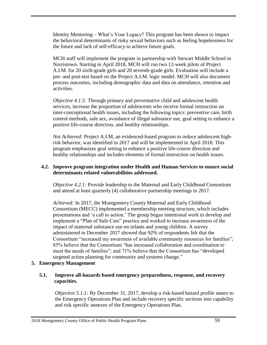Identity Mentoring – What's Your Legacy? This program has been shown to impact the behavioral determinants of risky sexual behaviors such as feeling hopelessness for the future and lack of self-efficacy to achieve future goals.

MCH staff will implement the program in partnership with Stewart Middle School in Norristown. Starting in April 2018, MCH will run two 12-week pilots of Project A.I.M. for 20 sixth-grade girls and 20 seventh-grade girls. Evaluation will include a pre- and post-test based on the Project A.I.M. logic model. MCH will also document process outcomes, including demographic data and data on attendance, retention and activities.

*Objective 4.1.5:* Through primary and preventative child and adolescent health services, increase the proportion of adolescents who receive formal instruction on inter-conceptional health issues, including the following topics: preventive care, birth control methods, safe sex, avoidance of illegal substance use, goal setting to enhance a positive life-course direction, and healthy relationships.

*Not Achieved:* Project A.I.M, an evidenced-based program to reduce adolescent highrisk behavior, was identified in 2017 and will be implemented in April 2018. This program emphasizes goal setting to enhance a positive life-course direction and healthy relationships and includes elements of formal instruction on health issues.

#### **4.2. Improve program integration under Health and Human Services to ensure social determinants related vulnerabilities addressed.**

*Objective 4.2.1:* Provide leadership to the Maternal and Early Childhood Consortium and attend at least quarterly (4) collaborative partnership meetings in 2017.

*Achieved:* In 2017, the Montgomery County Maternal and Early Childhood Consortium (MECC) implemented a membership meeting structure, which includes presentations and 'a call to action.' The group began intentional work to develop and implement a "Plan of Safe Care" practice and worked to increase awareness of the impact of maternal substance use on infants and young children. A survey administered in December 2017 showed that 92% of respondents felt that the Consortium "increased my awareness of available community resources for families"; 85% believe that the Consortium "has increased collaboration and coordination to meet the needs of families"; and 71% believe that the Consortium has "developed targeted action planning for community and systems change."

#### **5. Emergency Management**

#### **5.1. Improve all-hazards based emergency preparedness, response, and recovery capacities.**

*Objective 5.1.1:* By December 31, 2017, develop a risk-based hazard profile annex to the Emergency Operations Plan and include recovery specific sections into capability and risk specific annexes of the Emergency Operations Plan.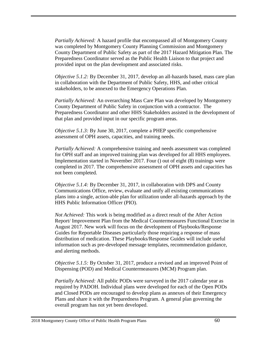*Partially Achieved:* A hazard profile that encompassed all of Montgomery County was completed by Montgomery County Planning Commission and Montgomery County Department of Public Safety as part of the 2017 Hazard Mitigation Plan. The Preparedness Coordinator served as the Public Health Liaison to that project and provided input on the plan development and associated risks.

*Objective 5.1.2:* By December 31, 2017, develop an all-hazards based, mass care plan in collaboration with the Department of Public Safety, HHS, and other critical stakeholders, to be annexed to the Emergency Operations Plan.

*Partially Achieved:* An overarching Mass Care Plan was developed by Montgomery County Department of Public Safety in conjunction with a contractor. The Preparedness Coordinator and other HHS Stakeholders assisted in the development of that plan and provided input in our specific program areas.

*Objective 5.1.3:* By June 30, 2017, complete a PHEP specific comprehensive assessment of OPH assets, capacities, and training needs.

*Partially Achieved:* A comprehensive training and needs assessment was completed for OPH staff and an improved training plan was developed for all HHS employees. Implementation started in November 2017. Four () out of eight (8) trainings were completed in 2017. The comprehensive assessment of OPH assets and capacities has not been completed.

*Objective 5.1.4:* By December 31, 2017, in collaboration with DPS and County Communications Office, review, evaluate and unify all existing communications plans into a single, action-able plan for utilization under all-hazards approach by the HHS Public Information Officer (PIO).

*Not Achieved:* This work is being modified as a direct result of the After Action Report/ Improvement Plan from the Medical Countermeasures Functional Exercise in August 2017. New work will focus on the development of Playbooks/Response Guides for Reportable Diseases particularly those requiring a response of mass distribution of medication. These Playbooks/Response Guides will include useful information such as pre-developed message templates, recommendation guidance, and alerting methods.

*Objective 5.1.5:* By October 31, 2017, produce a revised and an improved Point of Dispensing (POD) and Medical Countermeasures (MCM) Program plan.

*Partially Achieved:* All public PODs were surveyed in the 2017 calendar year as required by PADOH. Individual plans were developed for each of the Open PODs and Closed PODs are encouraged to develop plans as annexes of their Emergency Plans and share it with the Preparedness Program. A general plan governing the overall program has not yet been developed.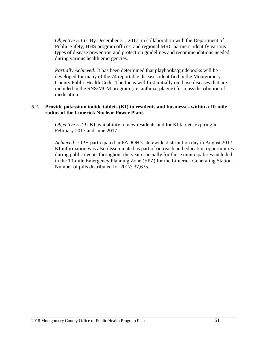*Objective 5.1.6:* By December 31, 2017, in collaboration with the Department of Public Safety, HHS program offices, and regional MRC partners, identify various types of disease prevention and protection guidelines and recommendations needed during various health emergencies.

*Partially Achieved:* It has been determined that playbooks/guidebooks will be developed for many of the 74 reportable diseases identified in the Montgomery County Public Health Code. The focus will first initially on those diseases that are included in the SNS/MCM program (i.e. anthrax, plague) for mass distribution of medication.

#### **5.2. Provide potassium iodide tablets (KI) to residents and businesses within a [10-mile](http://www.montcopa.org/DocumentCenter/View/8157)  [radius](http://www.montcopa.org/DocumentCenter/View/8157) of the Limerick Nuclear Power Plant.**

*Objective 5.2.1:* KI availability to new residents and for KI tablets expiring in February 2017 and June 2017.

*Achieved:* OPH participated in PADOH's statewide distribution day in August 2017. KI information was also disseminated as part of outreach and education opportunities during public events throughout the year especially for those municipalities included in the 10-mile Emergency Planning Zone (EPZ) for the Limerick Generating Station. Number of pills distributed for 2017: 37,635.